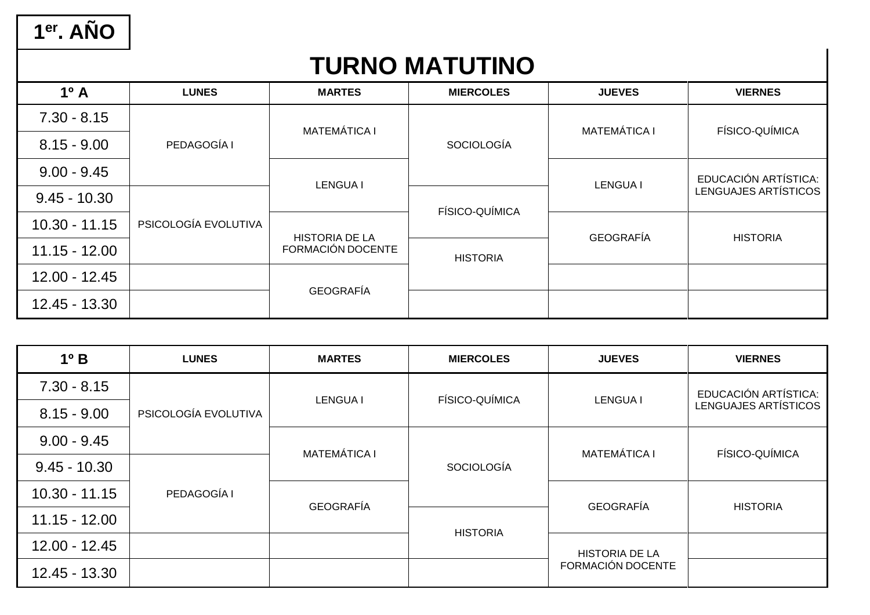1<sup>er</sup>. AÑO

### **TURNO MATUTINO**

| $1^{\circ}$ A   | <b>LUNES</b>         | <b>MARTES</b>                              | <b>MIERCOLES</b>  | <b>JUEVES</b>       | <b>VIERNES</b>                                      |
|-----------------|----------------------|--------------------------------------------|-------------------|---------------------|-----------------------------------------------------|
| $7.30 - 8.15$   |                      | <b>MATEMÁTICA I</b>                        |                   | <b>MATEMÁTICA I</b> | FÍSICO-QUÍMICA                                      |
| $8.15 - 9.00$   | PEDAGOGÍA I          |                                            | <b>SOCIOLOGÍA</b> |                     |                                                     |
| $9.00 - 9.45$   |                      | <b>LENGUA I</b>                            | FÍSICO-QUÍMICA    | <b>LENGUA I</b>     | EDUCACIÓN ARTÍSTICA:<br><b>LENGUAJES ARTÍSTICOS</b> |
| $9.45 - 10.30$  |                      |                                            |                   |                     |                                                     |
| $10.30 - 11.15$ | PSICOLOGÍA EVOLUTIVA |                                            |                   | <b>GEOGRAFÍA</b>    | <b>HISTORIA</b>                                     |
| $11.15 - 12.00$ |                      | <b>HISTORIA DE LA</b><br>FORMACIÓN DOCENTE | <b>HISTORIA</b>   |                     |                                                     |
| 12.00 - 12.45   |                      | <b>GEOGRAFÍA</b>                           |                   |                     |                                                     |
| 12.45 - 13.30   |                      |                                            |                   |                     |                                                     |

| $1^{\circ}$ B   | <b>LUNES</b>         | <b>MARTES</b>       | <b>MIERCOLES</b>  | <b>JUEVES</b>         | <b>VIERNES</b>       |
|-----------------|----------------------|---------------------|-------------------|-----------------------|----------------------|
| $7.30 - 8.15$   |                      |                     | FÍSICO-QUÍMICA    | <b>LENGUA I</b>       | EDUCACIÓN ARTÍSTICA: |
| $8.15 - 9.00$   | PSICOLOGÍA EVOLUTIVA | <b>LENGUA I</b>     |                   |                       | LENGUAJES ARTÍSTICOS |
| $9.00 - 9.45$   |                      | <b>MATEMÁTICA I</b> |                   | <b>MATEMÁTICA I</b>   | FÍSICO-QUÍMICA       |
| $9.45 - 10.30$  |                      |                     | <b>SOCIOLOGÍA</b> |                       |                      |
| $10.30 - 11.15$ | PEDAGOGÍA I          | <b>GEOGRAFÍA</b>    |                   | <b>GEOGRAFÍA</b>      |                      |
| $11.15 - 12.00$ |                      |                     |                   |                       | <b>HISTORIA</b>      |
| 12.00 - 12.45   |                      |                     | <b>HISTORIA</b>   | <b>HISTORIA DE LA</b> |                      |
| 12.45 - 13.30   |                      |                     |                   | FORMACIÓN DOCENTE     |                      |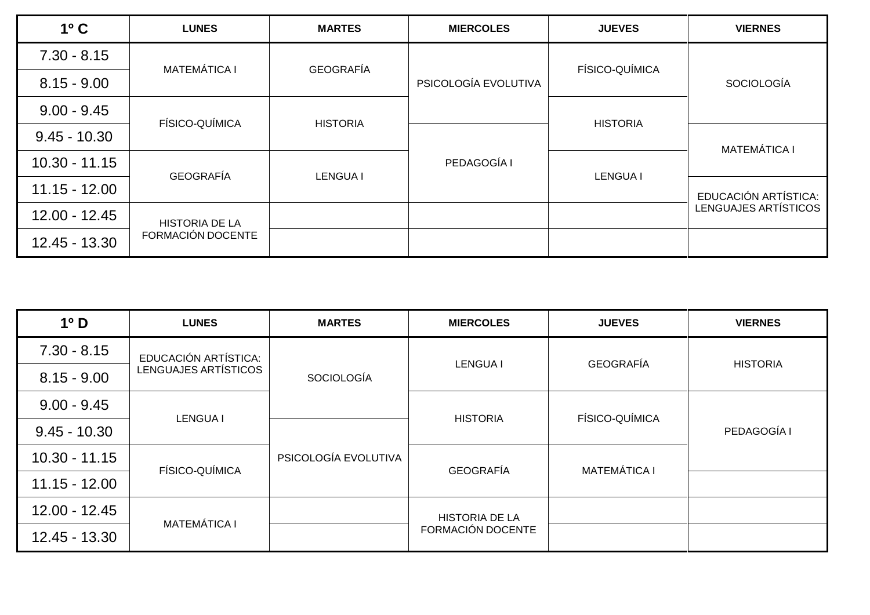| $1o$ C          | <b>LUNES</b>          | <b>MARTES</b>    | <b>MIERCOLES</b>     | <b>JUEVES</b>   | <b>VIERNES</b>       |
|-----------------|-----------------------|------------------|----------------------|-----------------|----------------------|
| $7.30 - 8.15$   | <b>MATEMÁTICA I</b>   | <b>GEOGRAFÍA</b> |                      | FÍSICO-QUÍMICA  |                      |
| $8.15 - 9.00$   |                       |                  | PSICOLOGÍA EVOLUTIVA |                 | <b>SOCIOLOGÍA</b>    |
| $9.00 - 9.45$   | FÍSICO-QUÍMICA        | <b>HISTORIA</b>  |                      |                 |                      |
| $9.45 - 10.30$  |                       |                  |                      | <b>HISTORIA</b> | <b>MATEMÁTICA I</b>  |
| $10.30 - 11.15$ | <b>GEOGRAFÍA</b>      | <b>LENGUA I</b>  | PEDAGOGÍA I          |                 |                      |
| $11.15 - 12.00$ |                       |                  |                      | <b>LENGUA I</b> | EDUCACIÓN ARTÍSTICA: |
| 12.00 - 12.45   | <b>HISTORIA DE LA</b> |                  |                      |                 | LENGUAJES ARTÍSTICOS |
| 12.45 - 13.30   | FORMACIÓN DOCENTE     |                  |                      |                 |                      |

| 1 <sup>0</sup> D | <b>LUNES</b>         | <b>MARTES</b>        | <b>MIERCOLES</b>      | <b>JUEVES</b>       | <b>VIERNES</b>  |
|------------------|----------------------|----------------------|-----------------------|---------------------|-----------------|
| $7.30 - 8.15$    | EDUCACIÓN ARTÍSTICA: |                      | <b>LENGUA I</b>       | <b>GEOGRAFÍA</b>    | <b>HISTORIA</b> |
| $8.15 - 9.00$    | LENGUAJES ARTÍSTICOS | <b>SOCIOLOGÍA</b>    |                       |                     |                 |
| $9.00 - 9.45$    |                      |                      |                       | FÍSICO-QUÍMICA      |                 |
| $9.45 - 10.30$   | <b>LENGUA I</b>      |                      | <b>HISTORIA</b>       |                     | PEDAGOGÍA I     |
| $10.30 - 11.15$  | FÍSICO-QUÍMICA       | PSICOLOGÍA EVOLUTIVA | <b>GEOGRAFÍA</b>      | <b>MATEMÁTICA I</b> |                 |
| $11.15 - 12.00$  |                      |                      |                       |                     |                 |
| $12.00 - 12.45$  | <b>MATEMÁTICA I</b>  |                      | <b>HISTORIA DE LA</b> |                     |                 |
| 12.45 - 13.30    |                      |                      | FORMACIÓN DOCENTE     |                     |                 |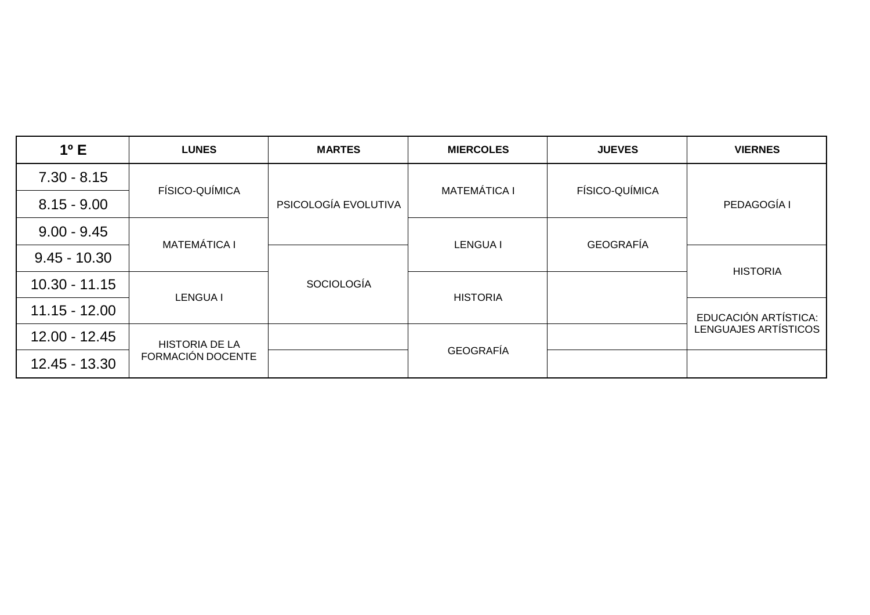| $1^{\circ}$ E   | <b>LUNES</b>          | <b>MARTES</b>        | <b>MIERCOLES</b>    | <b>JUEVES</b>    | <b>VIERNES</b>       |
|-----------------|-----------------------|----------------------|---------------------|------------------|----------------------|
| $7.30 - 8.15$   | FÍSICO-QUÍMICA        |                      | <b>MATEMÁTICA I</b> | FÍSICO-QUÍMICA   |                      |
| $8.15 - 9.00$   |                       | PSICOLOGÍA EVOLUTIVA |                     |                  | PEDAGOGÍA I          |
| $9.00 - 9.45$   | <b>MATEMÁTICA I</b>   |                      |                     | <b>GEOGRAFÍA</b> |                      |
| $9.45 - 10.30$  |                       |                      | <b>LENGUA I</b>     |                  | <b>HISTORIA</b>      |
| $10.30 - 11.15$ |                       | <b>SOCIOLOGÍA</b>    |                     |                  |                      |
| $11.15 - 12.00$ | <b>LENGUA I</b>       |                      | <b>HISTORIA</b>     |                  | EDUCACIÓN ARTÍSTICA: |
| $12.00 - 12.45$ | <b>HISTORIA DE LA</b> |                      | <b>GEOGRAFÍA</b>    |                  | LENGUAJES ARTÍSTICOS |
| 12.45 - 13.30   | FORMACIÓN DOCENTE     |                      |                     |                  |                      |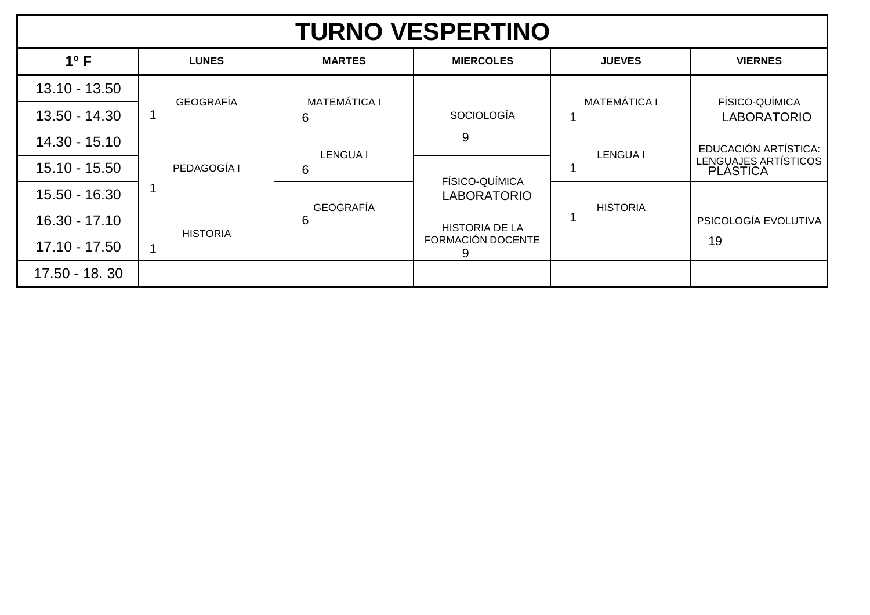| <b>TURNO VESPERTINO</b> |                  |                     |                                           |                     |                                  |  |  |  |
|-------------------------|------------------|---------------------|-------------------------------------------|---------------------|----------------------------------|--|--|--|
| $1^{\circ}$ F           | <b>LUNES</b>     | <b>MARTES</b>       | <b>MIERCOLES</b>                          | <b>JUEVES</b>       | <b>VIERNES</b>                   |  |  |  |
| $13.10 - 13.50$         | <b>GEOGRAFÍA</b> | <b>MATEMÁTICA I</b> |                                           | <b>MATEMÁTICA I</b> | FÍSICO-QUÍMICA                   |  |  |  |
| 13.50 - 14.30           |                  | 6                   | <b>SOCIOLOGÍA</b>                         |                     | <b>LABORATORIO</b>               |  |  |  |
| 14.30 - 15.10           |                  |                     | 9                                         |                     | EDUCACIÓN ARTÍSTICA:             |  |  |  |
| 15.10 - 15.50           | PEDAGOGÍA I      | <b>LENGUAI</b><br>6 | FÍSICO-QUÍMICA                            | <b>LENGUA I</b>     | LENGUAJES ARTÍSTICOS<br>PLÁSTICA |  |  |  |
| 15.50 - 16.30           |                  |                     | <b>LABORATORIO</b>                        |                     |                                  |  |  |  |
| $16.30 - 17.10$         | <b>HISTORIA</b>  | 6                   | <b>GEOGRAFÍA</b><br><b>HISTORIA DE LA</b> | <b>HISTORIA</b>     | PSICOLOGÍA EVOLUTIVA             |  |  |  |
| 17.10 - 17.50           |                  |                     | FORMACIÓN DOCENTE<br>9                    |                     | 19                               |  |  |  |
| 17.50 - 18.30           |                  |                     |                                           |                     |                                  |  |  |  |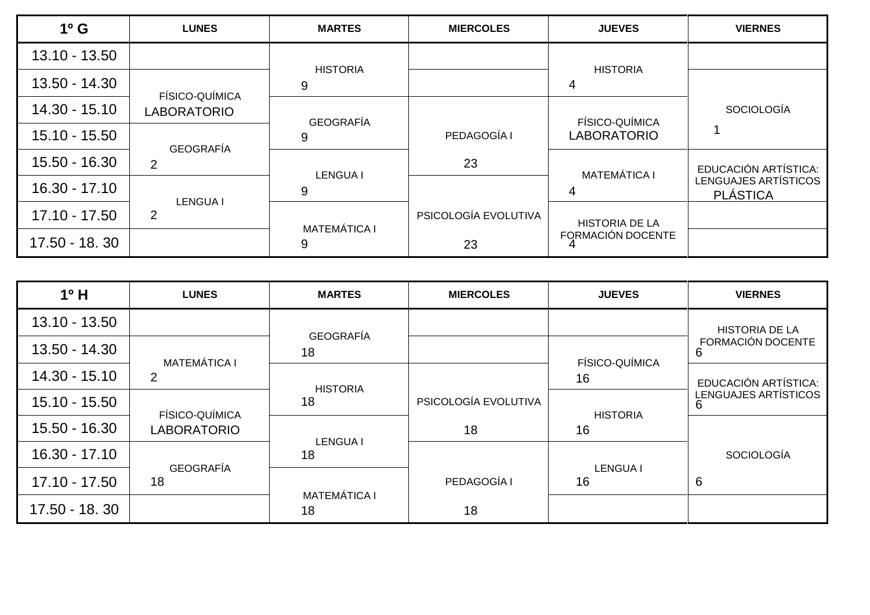| $1^{\circ}$ G   | <b>LUNES</b>       | <b>MARTES</b>       | <b>MIERCOLES</b>     | <b>JUEVES</b>         | <b>VIERNES</b>                          |
|-----------------|--------------------|---------------------|----------------------|-----------------------|-----------------------------------------|
| $13.10 - 13.50$ |                    | <b>HISTORIA</b>     |                      | <b>HISTORIA</b>       |                                         |
| 13.50 - 14.30   | FÍSICO-QUÍMICA     | 9                   |                      | 4                     |                                         |
| $14.30 - 15.10$ | <b>LABORATORIO</b> | <b>GEOGRAFÍA</b>    |                      | <b>FÍSICO-QUÍMICA</b> | <b>SOCIOLOGÍA</b>                       |
| $15.10 - 15.50$ | <b>GEOGRAFÍA</b>   | 9                   | PEDAGOGÍA I          | <b>LABORATORIO</b>    |                                         |
| 15.50 - 16.30   | 2                  | <b>LENGUA I</b>     | 23                   | <b>MATEMÁTICA I</b>   | EDUCACIÓN ARTÍSTICA:                    |
| $16.30 - 17.10$ | <b>LENGUA I</b>    | 9                   |                      |                       | LENGUAJES ARTÍSTICOS<br><b>PLÁSTICA</b> |
| 17.10 - 17.50   | $\overline{2}$     | <b>MATEMÁTICA I</b> | PSICOLOGÍA EVOLUTIVA | <b>HISTORIA DE LA</b> |                                         |
| 17.50 - 18.30   |                    | 9                   | 23                   | FORMACIÓN DOCENTE     |                                         |

| $1°$ H          | <b>LUNES</b>        | <b>MARTES</b>       | <b>MIERCOLES</b>     | <b>JUEVES</b>   | <b>VIERNES</b>         |
|-----------------|---------------------|---------------------|----------------------|-----------------|------------------------|
| 13.10 - 13.50   |                     | <b>GEOGRAFÍA</b>    |                      |                 | <b>HISTORIA DE LA</b>  |
| 13.50 - 14.30   | <b>MATEMÁTICA I</b> | 18                  |                      | FÍSICO-QUÍMICA  | FORMACIÓN DOCENTE<br>h |
| 14.30 - 15.10   | $\overline{2}$      | <b>HISTORIA</b>     |                      | 16              | EDUCACIÓN ARTÍSTICA:   |
| 15.10 - 15.50   | FÍSICO-QUÍMICA      | 18                  | PSICOLOGÍA EVOLUTIVA | <b>HISTORIA</b> | LENGUAJES ARTÍSTICOS   |
| 15.50 - 16.30   | <b>LABORATORIO</b>  | <b>LENGUA I</b>     | 18                   | 16              |                        |
| $16.30 - 17.10$ | <b>GEOGRAFÍA</b>    | 18                  |                      | <b>LENGUA I</b> | <b>SOCIOLOGÍA</b>      |
| 17.10 - 17.50   | 18                  | <b>MATEMÁTICA I</b> | PEDAGOGÍA I          | 16              | 6                      |
| 17.50 - 18.30   |                     | 18                  | 18                   |                 |                        |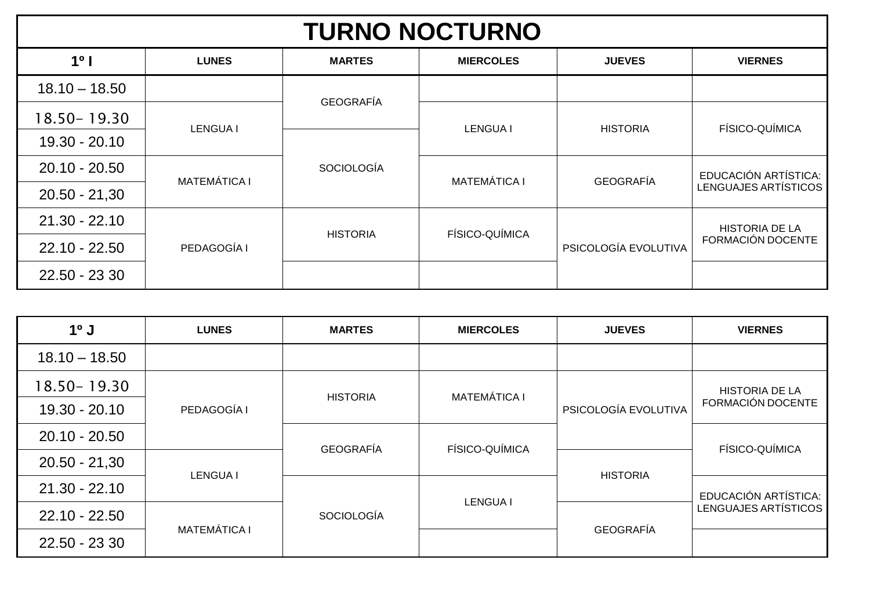## **TURNO NOCTURNO**

| 1 <sup>0</sup>  | <b>LUNES</b>        | <b>MARTES</b>     | <b>MIERCOLES</b>    | <b>JUEVES</b>        | <b>VIERNES</b>              |
|-----------------|---------------------|-------------------|---------------------|----------------------|-----------------------------|
| $18.10 - 18.50$ |                     | <b>GEOGRAFÍA</b>  |                     |                      |                             |
| 18.50 - 19.30   | <b>LENGUA I</b>     |                   | <b>LENGUA I</b>     | <b>HISTORIA</b>      | FÍSICO-QUÍMICA              |
| $19.30 - 20.10$ |                     |                   |                     |                      |                             |
| $20.10 - 20.50$ | <b>MATEMÁTICA I</b> | <b>SOCIOLOGÍA</b> | <b>MATEMÁTICA I</b> | <b>GEOGRAFÍA</b>     | EDUCACIÓN ARTÍSTICA:        |
| $20.50 - 21,30$ |                     |                   |                     |                      | <b>LENGUAJES ARTÍSTICOS</b> |
| $21.30 - 22.10$ |                     | <b>HISTORIA</b>   | FÍSICO-QUÍMICA      |                      | <b>HISTORIA DE LA</b>       |
| $22.10 - 22.50$ | PEDAGOGÍA I         |                   |                     | PSICOLOGÍA EVOLUTIVA | FORMACIÓN DOCENTE           |
| 22.50 - 23 30   |                     |                   |                     |                      |                             |

| $10$ J          | <b>LUNES</b>        | <b>MARTES</b>       | <b>MIERCOLES</b>      | <b>JUEVES</b>         | <b>VIERNES</b>       |
|-----------------|---------------------|---------------------|-----------------------|-----------------------|----------------------|
| $18.10 - 18.50$ |                     |                     |                       |                       |                      |
| 18.50-19.30     |                     | <b>MATEMÁTICA I</b> |                       | <b>HISTORIA DE LA</b> |                      |
| $19.30 - 20.10$ | PEDAGOGÍA I         | <b>HISTORIA</b>     |                       | PSICOLOGÍA EVOLUTIVA  | FORMACIÓN DOCENTE    |
| $20.10 - 20.50$ |                     | <b>GEOGRAFÍA</b>    | <b>FÍSICO-QUÍMICA</b> |                       | FÍSICO-QUÍMICA       |
| $20.50 - 21,30$ | <b>LENGUA I</b>     |                     |                       | <b>HISTORIA</b>       |                      |
| $21.30 - 22.10$ |                     |                     |                       |                       | EDUCACIÓN ARTÍSTICA: |
| $22.10 - 22.50$ |                     | <b>SOCIOLOGÍA</b>   | <b>LENGUA I</b>       |                       | LENGUAJES ARTÍSTICOS |
| 22.50 - 23 30   | <b>MATEMÁTICA I</b> |                     |                       | <b>GEOGRAFÍA</b>      |                      |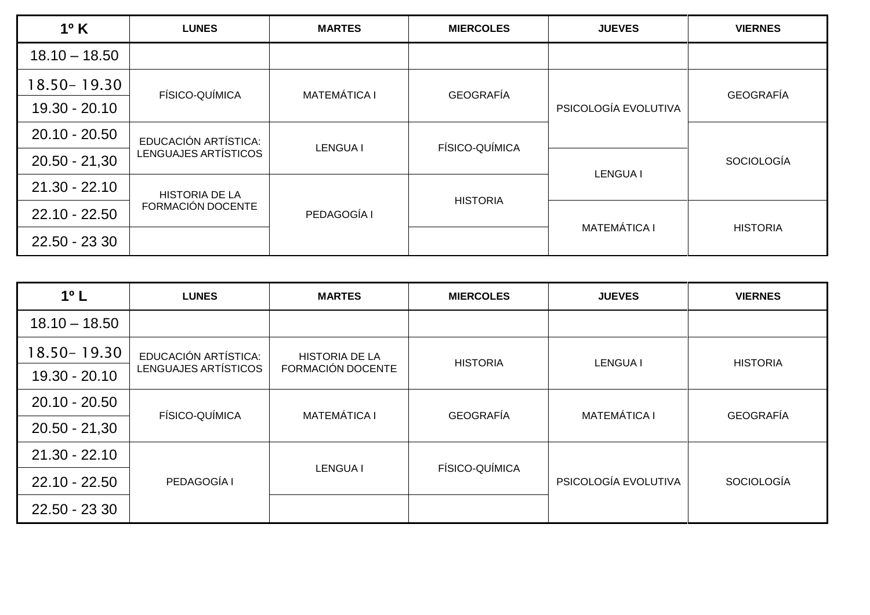| $1^{\circ}$ K   | <b>LUNES</b>          | <b>MARTES</b>       | <b>MIERCOLES</b> | <b>JUEVES</b>        | <b>VIERNES</b>    |
|-----------------|-----------------------|---------------------|------------------|----------------------|-------------------|
| $18.10 - 18.50$ |                       |                     |                  |                      |                   |
| 18.50 - 19.30   | FÍSICO-QUÍMICA        | <b>MATEMÁTICA I</b> | <b>GEOGRAFÍA</b> |                      | <b>GEOGRAFÍA</b>  |
| 19.30 - 20.10   |                       |                     |                  | PSICOLOGÍA EVOLUTIVA |                   |
| $20.10 - 20.50$ | EDUCACIÓN ARTÍSTICA:  | <b>LENGUA I</b>     | FÍSICO-QUÍMICA   |                      | <b>SOCIOLOGÍA</b> |
| $20.50 - 21,30$ | LENGUAJES ARTÍSTICOS  |                     |                  |                      |                   |
| $21.30 - 22.10$ | <b>HISTORIA DE LA</b> |                     | <b>HISTORIA</b>  | <b>LENGUA I</b>      |                   |
| $22.10 - 22.50$ | FORMACIÓN DOCENTE     | PEDAGOGÍA I         |                  |                      |                   |
| 22.50 - 23 30   |                       |                     |                  | <b>MATEMÁTICA I</b>  | <b>HISTORIA</b>   |

| $1o$ L          | <b>LUNES</b>          | <b>MARTES</b>         | <b>MIERCOLES</b> | <b>JUEVES</b>        | <b>VIERNES</b>    |
|-----------------|-----------------------|-----------------------|------------------|----------------------|-------------------|
| $18.10 - 18.50$ |                       |                       |                  |                      |                   |
| 18.50 - 19.30   | EDUCACIÓN ARTÍSTICA:  | <b>HISTORIA DE LA</b> | <b>HISTORIA</b>  | <b>LENGUA I</b>      | <b>HISTORIA</b>   |
| $19.30 - 20.10$ | LENGUAJES ARTÍSTICOS  | FORMACIÓN DOCENTE     |                  |                      |                   |
| $20.10 - 20.50$ | <b>FÍSICO-QUÍMICA</b> | <b>MATEMÁTICA I</b>   | <b>GEOGRAFÍA</b> | <b>MATEMÁTICA I</b>  | <b>GEOGRAFÍA</b>  |
| $20.50 - 21,30$ |                       |                       |                  |                      |                   |
| $21.30 - 22.10$ |                       |                       | FÍSICO-QUÍMICA   |                      |                   |
| $22.10 - 22.50$ | PEDAGOGÍA I           | <b>LENGUA I</b>       |                  | PSICOLOGÍA EVOLUTIVA | <b>SOCIOLOGÍA</b> |
| 22.50 - 23 30   |                       |                       |                  |                      |                   |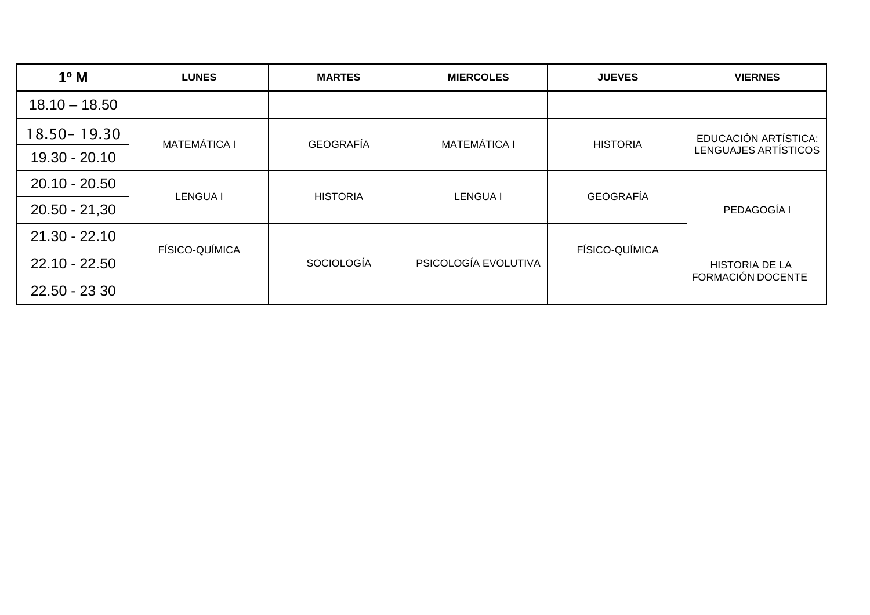| $1^{\circ}$ M   | <b>LUNES</b>        | <b>MARTES</b>     | <b>MIERCOLES</b>     | <b>JUEVES</b>    | <b>VIERNES</b>        |
|-----------------|---------------------|-------------------|----------------------|------------------|-----------------------|
| $18.10 - 18.50$ |                     |                   |                      |                  |                       |
| 18.50 - 19.30   | <b>MATEMÁTICA I</b> | <b>GEOGRAFÍA</b>  | <b>MATEMÁTICA I</b>  |                  | EDUCACIÓN ARTÍSTICA:  |
| 19.30 - 20.10   |                     |                   | <b>HISTORIA</b>      |                  | LENGUAJES ARTÍSTICOS  |
| $20.10 - 20.50$ | <b>LENGUA I</b>     | <b>HISTORIA</b>   | <b>LENGUA I</b>      | <b>GEOGRAFÍA</b> |                       |
| $20.50 - 21,30$ |                     |                   |                      |                  | PEDAGOGÍA I           |
| $21.30 - 22.10$ | FÍSICO-QUÍMICA      |                   |                      | FÍSICO-QUÍMICA   |                       |
| $22.10 - 22.50$ |                     | <b>SOCIOLOGÍA</b> | PSICOLOGÍA EVOLUTIVA |                  | <b>HISTORIA DE LA</b> |
| 22.50 - 23 30   |                     |                   |                      |                  | FORMACIÓN DOCENTE     |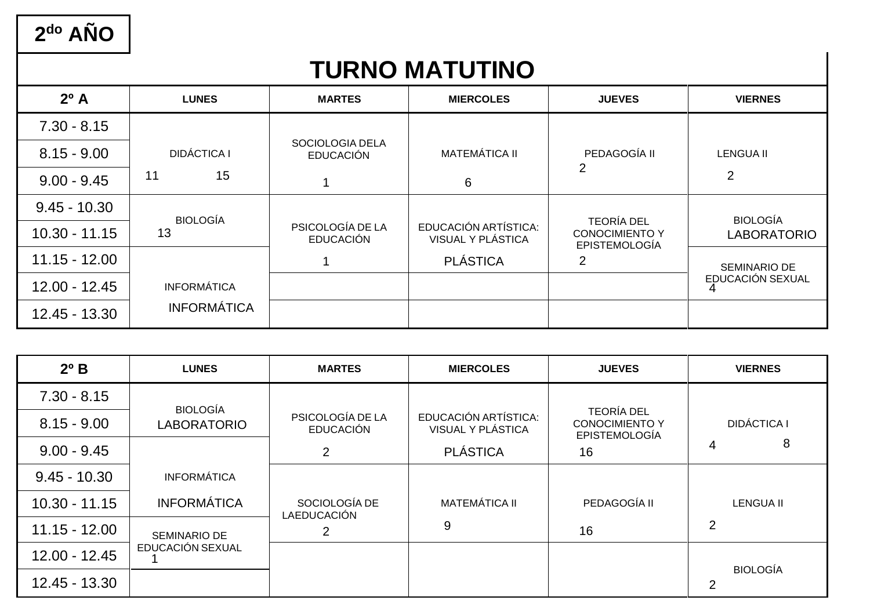$2<sup>do</sup> AÑO$ 

## **TURNO MATUTINO**

| $2^{\circ}$ A   | <b>LUNES</b>       | <b>MARTES</b>                        | <b>MIERCOLES</b>                          | <b>JUEVES</b>                                                      | <b>VIERNES</b>     |
|-----------------|--------------------|--------------------------------------|-------------------------------------------|--------------------------------------------------------------------|--------------------|
| $7.30 - 8.15$   |                    |                                      |                                           |                                                                    |                    |
| $8.15 - 9.00$   | <b>DIDÁCTICA I</b> | SOCIOLOGIA DELA<br><b>EDUCACIÓN</b>  | <b>MATEMÁTICA II</b>                      | PEDAGOGÍA II                                                       | LENGUA II          |
| $9.00 - 9.45$   | 15<br>11           |                                      | 6                                         | 2                                                                  | 2                  |
| $9.45 - 10.30$  | <b>BIOLOGÍA</b>    |                                      |                                           |                                                                    | <b>BIOLOGÍA</b>    |
| $10.30 - 11.15$ | 13                 | PSICOLOGÍA DE LA<br><b>EDUCACIÓN</b> | EDUCACIÓN ARTÍSTICA:<br>VISUAL Y PLÁSTICA | <b>TEORÍA DEL</b><br><b>CONOCIMIENTO Y</b><br><b>EPISTEMOLOGÍA</b> | <b>LABORATORIO</b> |
| $11.15 - 12.00$ |                    |                                      | <b>PLÁSTICA</b>                           | $\overline{2}$                                                     | SEMINARIO DE       |
| $12.00 - 12.45$ | <b>INFORMÁTICA</b> |                                      |                                           |                                                                    | EDUCACIÓN SEXUAL   |
| 12.45 - 13.30   | <b>INFORMÁTICA</b> |                                      |                                           |                                                                    |                    |

| $2^{\circ}$ B   | <b>LUNES</b>       | <b>MARTES</b>                        | <b>MIERCOLES</b>                          | <b>JUEVES</b>                                                      | <b>VIERNES</b>       |
|-----------------|--------------------|--------------------------------------|-------------------------------------------|--------------------------------------------------------------------|----------------------|
| $7.30 - 8.15$   | <b>BIOLOGÍA</b>    |                                      |                                           |                                                                    |                      |
| $8.15 - 9.00$   | <b>LABORATORIO</b> | PSICOLOGÍA DE LA<br><b>EDUCACIÓN</b> | EDUCACIÓN ARTÍSTICA:<br>VISUAL Y PLÁSTICA | <b>TEORÍA DEL</b><br><b>CONOCIMIENTO Y</b><br><b>EPISTEMOLOGÍA</b> | <b>DIDÁCTICA I</b>   |
| $9.00 - 9.45$   |                    | $\overline{2}$                       | <b>PLÁSTICA</b>                           | 16                                                                 | 8<br>4               |
| $9.45 - 10.30$  | <b>INFORMÁTICA</b> |                                      |                                           |                                                                    |                      |
| $10.30 - 11.15$ | <b>INFORMÁTICA</b> | SOCIOLOGÍA DE<br>LAEDUCACIÓN         | <b>MATEMÁTICA II</b>                      | PEDAGOGÍA II                                                       | <b>LENGUA II</b>     |
| $11.15 - 12.00$ | SEMINARIO DE       | 2                                    | 9                                         | 16                                                                 | 2                    |
| $12.00 - 12.45$ | EDUCACIÓN SEXUAL   |                                      |                                           |                                                                    |                      |
| 12.45 - 13.30   |                    |                                      |                                           |                                                                    | <b>BIOLOGÍA</b><br>2 |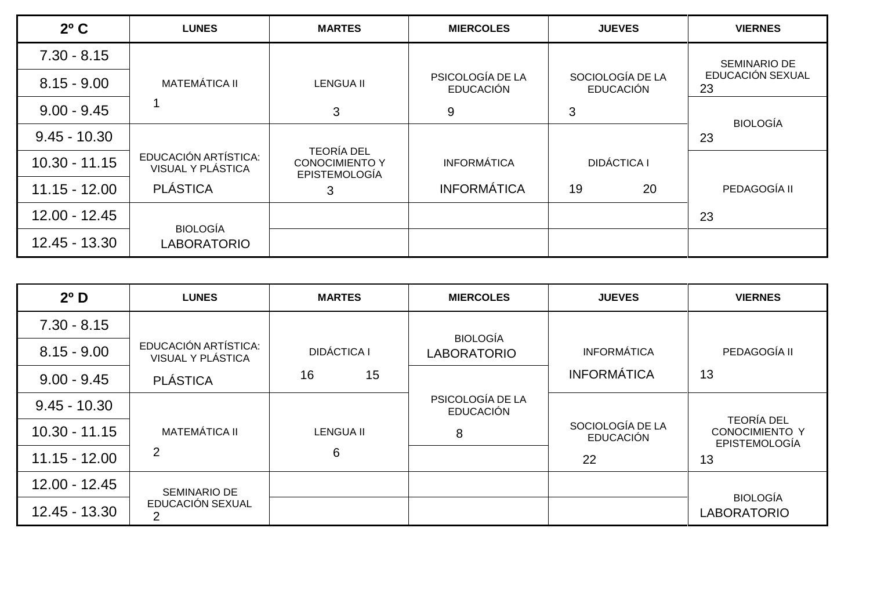| $2^{\circ}$ C   | <b>LUNES</b>                                     | <b>MARTES</b>                                 | <b>MIERCOLES</b>                     | <b>JUEVES</b>                        | <b>VIERNES</b>         |
|-----------------|--------------------------------------------------|-----------------------------------------------|--------------------------------------|--------------------------------------|------------------------|
| $7.30 - 8.15$   |                                                  |                                               |                                      |                                      | SEMINARIO DE           |
| $8.15 - 9.00$   | <b>MATEMÁTICA II</b>                             | <b>LENGUA II</b>                              | PSICOLOGÍA DE LA<br><b>EDUCACIÓN</b> | SOCIOLOGÍA DE LA<br><b>EDUCACIÓN</b> | EDUCACIÓN SEXUAL<br>23 |
| $9.00 - 9.45$   |                                                  | 3                                             | 9                                    | 3                                    | <b>BIOLOGÍA</b>        |
| $9.45 - 10.30$  |                                                  | <b>TEORÍA DEL</b>                             |                                      |                                      | 23                     |
| $10.30 - 11.15$ | EDUCACIÓN ARTÍSTICA:<br><b>VISUAL Y PLÁSTICA</b> | <b>CONOCIMIENTO Y</b><br><b>EPISTEMOLOGÍA</b> | <b>INFORMÁTICA</b>                   | <b>DIDÁCTICA I</b>                   |                        |
| $11.15 - 12.00$ | <b>PLÁSTICA</b>                                  | 3                                             | <b>INFORMÁTICA</b>                   | 19<br>20                             | PEDAGOGÍA II           |
| 12.00 - 12.45   | <b>BIOLOGÍA</b>                                  |                                               |                                      |                                      | 23                     |
| 12.45 - 13.30   | <b>LABORATORIO</b>                               |                                               |                                      |                                      |                        |

| $2^{\circ}$ D   | <b>LUNES</b>                              | <b>MARTES</b>      | <b>MIERCOLES</b>                     | <b>JUEVES</b>                        | <b>VIERNES</b>                                                     |
|-----------------|-------------------------------------------|--------------------|--------------------------------------|--------------------------------------|--------------------------------------------------------------------|
| $7.30 - 8.15$   |                                           |                    | <b>BIOLOGÍA</b>                      |                                      |                                                                    |
| $8.15 - 9.00$   | EDUCACIÓN ARTÍSTICA:<br>VISUAL Y PLÁSTICA | <b>DIDÁCTICA I</b> | <b>LABORATORIO</b>                   | <b>INFORMÁTICA</b>                   | PEDAGOGÍA II                                                       |
| $9.00 - 9.45$   | <b>PLÁSTICA</b>                           | 15<br>16           |                                      | <b>INFORMÁTICA</b>                   | 13                                                                 |
| $9.45 - 10.30$  |                                           |                    | PSICOLOGÍA DE LA<br><b>EDUCACIÓN</b> |                                      |                                                                    |
| $10.30 - 11.15$ | <b>MATEMÁTICA II</b>                      | <b>LENGUA II</b>   | 8                                    | SOCIOLOGÍA DE LA<br><b>EDUCACIÓN</b> | <b>TEORÍA DEL</b><br><b>CONOCIMIENTO Y</b><br><b>EPISTEMOLOGÍA</b> |
| $11.15 - 12.00$ | 2                                         | 6                  |                                      | 22                                   | 13                                                                 |
| $12.00 - 12.45$ | SEMINARIO DE                              |                    |                                      |                                      | <b>BIOLOGÍA</b>                                                    |
| 12.45 - 13.30   | EDUCACIÓN SEXUAL                          |                    |                                      |                                      | <b>LABORATORIO</b>                                                 |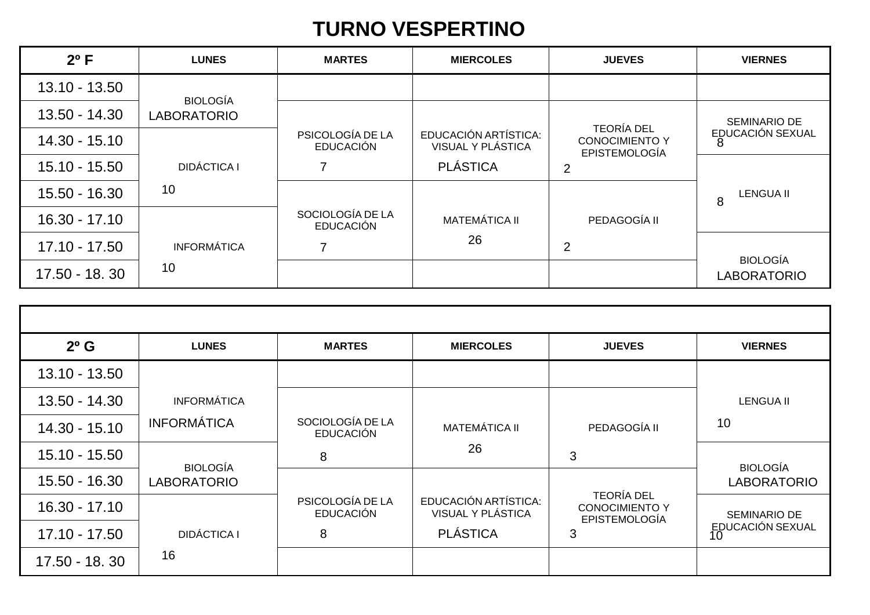#### **TURNO VESPERTINO**

| $2^{\circ}$ F   | <b>LUNES</b>       | <b>MARTES</b>                        | <b>MIERCOLES</b>                          | <b>JUEVES</b>                                 | <b>VIERNES</b>        |
|-----------------|--------------------|--------------------------------------|-------------------------------------------|-----------------------------------------------|-----------------------|
| 13.10 - 13.50   | <b>BIOLOGÍA</b>    |                                      |                                           |                                               |                       |
| 13.50 - 14.30   | <b>LABORATORIO</b> |                                      |                                           | <b>TEORÍA DEL</b>                             | SEMINARIO DE          |
| 14.30 - 15.10   |                    | PSICOLOGÍA DE LA<br><b>EDUCACIÓN</b> | EDUCACIÓN ARTÍSTICA:<br>VISUAL Y PLÁSTICA | <b>CONOCIMIENTO Y</b><br><b>EPISTEMOLOGÍA</b> | EDUCACIÓN SEXUAL      |
| $15.10 - 15.50$ | <b>DIDÁCTICA I</b> |                                      | <b>PLÁSTICA</b>                           | $\overline{2}$                                |                       |
| 15.50 - 16.30   | 10                 |                                      |                                           |                                               | <b>LENGUA II</b><br>8 |
| $16.30 - 17.10$ |                    | SOCIOLOGÍA DE LA<br><b>EDUCACIÓN</b> | <b>MATEMÁTICA II</b>                      | PEDAGOGÍA II                                  |                       |
| $17.10 - 17.50$ | <b>INFORMÁTICA</b> |                                      | 26                                        | $\overline{2}$                                | <b>BIOLOGÍA</b>       |
| 17.50 - 18.30   | 10                 |                                      |                                           |                                               | <b>LABORATORIO</b>    |

| $2^{\circ}$ G   | <b>LUNES</b>       | <b>MARTES</b>                        | <b>MIERCOLES</b>                          | <b>JUEVES</b>                                                      | <b>VIERNES</b>         |
|-----------------|--------------------|--------------------------------------|-------------------------------------------|--------------------------------------------------------------------|------------------------|
| 13.10 - 13.50   |                    |                                      |                                           |                                                                    |                        |
| 13.50 - 14.30   | <b>INFORMÁTICA</b> |                                      |                                           |                                                                    | <b>LENGUA II</b>       |
| 14.30 - 15.10   | <b>INFORMÁTICA</b> | SOCIOLOGÍA DE LA<br><b>EDUCACIÓN</b> | <b>MATEMÁTICA II</b>                      | PEDAGOGÍA II                                                       | 10                     |
| $15.10 - 15.50$ | <b>BIOLOGÍA</b>    | 8                                    | 26                                        | 3                                                                  | <b>BIOLOGÍA</b>        |
| 15.50 - 16.30   | <b>LABORATORIO</b> |                                      |                                           |                                                                    | <b>LABORATORIO</b>     |
| $16.30 - 17.10$ |                    | PSICOLOGÍA DE LA<br><b>EDUCACIÓN</b> | EDUCACIÓN ARTÍSTICA:<br>VISUAL Y PLÁSTICA | <b>TEORÍA DEL</b><br><b>CONOCIMIENTO Y</b><br><b>EPISTEMOLOGÍA</b> | SEMINARIO DE           |
| $17.10 - 17.50$ | <b>DIDÁCTICA I</b> | 8                                    | <b>PLÁSTICA</b>                           | 3                                                                  | EDUCACIÓN SEXUAL<br>10 |
| 17.50 - 18.30   | 16                 |                                      |                                           |                                                                    |                        |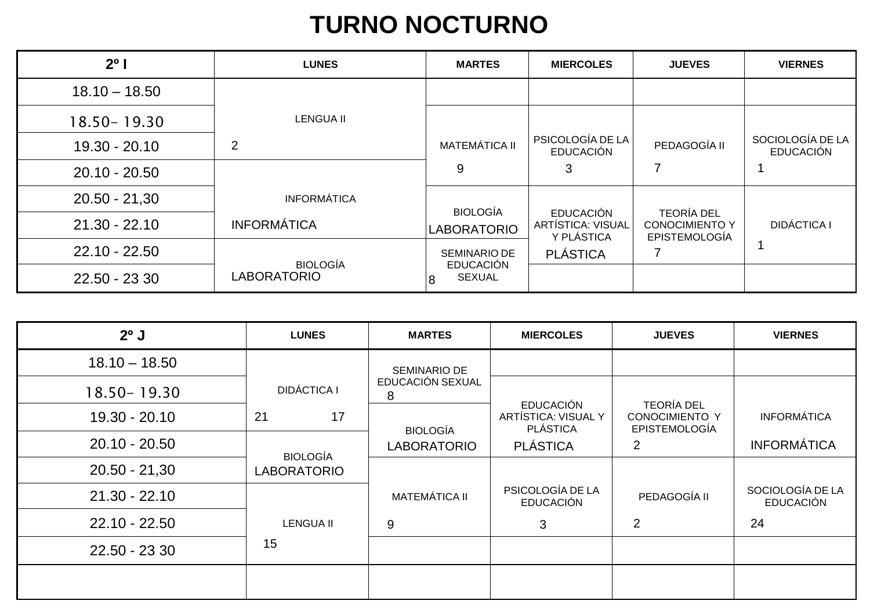## **TURNO NOCTURNO**

| $2^{\circ}$     | <b>LUNES</b>       | <b>MARTES</b>                           | <b>MIERCOLES</b>                                           | <b>JUEVES</b>                                                      | <b>VIERNES</b>                       |
|-----------------|--------------------|-----------------------------------------|------------------------------------------------------------|--------------------------------------------------------------------|--------------------------------------|
| $18.10 - 18.50$ |                    |                                         |                                                            |                                                                    |                                      |
| 18.50 - 19.30   | <b>LENGUA II</b>   |                                         |                                                            |                                                                    |                                      |
| 19.30 - 20.10   | 2                  | <b>MATEMÁTICA II</b>                    | PSICOLOGÍA DE LA<br><b>EDUCACIÓN</b>                       | PEDAGOGÍA II                                                       | SOCIOLOGÍA DE LA<br><b>EDUCACIÓN</b> |
| $20.10 - 20.50$ |                    | 9                                       | 3                                                          |                                                                    |                                      |
| $20.50 - 21,30$ | <b>INFORMÁTICA</b> | <b>BIOLOGÍA</b>                         |                                                            |                                                                    |                                      |
| $21.30 - 22.10$ | <b>INFORMÁTICA</b> | <b>LABORATORIO</b>                      | <b>EDUCACIÓN</b><br><b>ARTÍSTICA: VISUAL</b><br>Y PLÁSTICA | <b>TEORÍA DEL</b><br><b>CONOCIMIENTO Y</b><br><b>EPISTEMOLOGÍA</b> | <b>DIDÁCTICA I</b>                   |
| $22.10 - 22.50$ | <b>BIOLOGÍA</b>    | <b>SEMINARIO DE</b><br><b>EDUCACIÓN</b> | <b>PLÁSTICA</b>                                            |                                                                    |                                      |
| 22.50 - 23 30   | <b>LABORATORIO</b> | <b>SEXUAL</b><br>8                      |                                                            |                                                                    |                                      |

| $2^{\circ}$ J   | <b>LUNES</b>       | <b>MARTES</b>         | <b>MIERCOLES</b>                       | <b>JUEVES</b>                                 | <b>VIERNES</b>                       |
|-----------------|--------------------|-----------------------|----------------------------------------|-----------------------------------------------|--------------------------------------|
| $18.10 - 18.50$ |                    | SEMINARIO DE          |                                        |                                               |                                      |
| $18.50 - 19.30$ | <b>DIDÁCTICA I</b> | EDUCACIÓN SEXUAL<br>8 | <b>EDUCACIÓN</b>                       | <b>TEORÍA DEL</b>                             |                                      |
| 19.30 - 20.10   | 21<br>17           | <b>BIOLOGÍA</b>       | ARTÍSTICA: VISUAL Y<br><b>PLÁSTICA</b> | <b>CONOCIMIENTO Y</b><br><b>EPISTEMOLOGÍA</b> | <b>INFORMÁTICA</b>                   |
| $20.10 - 20.50$ | <b>BIOLOGÍA</b>    | <b>LABORATORIO</b>    | <b>PLÁSTICA</b>                        | 2                                             | <b>INFORMÁTICA</b>                   |
| $20.50 - 21,30$ | <b>LABORATORIO</b> |                       |                                        |                                               |                                      |
| $21.30 - 22.10$ |                    | <b>MATEMÁTICA II</b>  | PSICOLOGÍA DE LA<br><b>EDUCACIÓN</b>   | PEDAGOGÍA II                                  | SOCIOLOGÍA DE LA<br><b>EDUCACIÓN</b> |
| $22.10 - 22.50$ | <b>LENGUA II</b>   | 9                     | 3                                      | $\overline{2}$                                | 24                                   |
| 22.50 - 23 30   | 15                 |                       |                                        |                                               |                                      |
|                 |                    |                       |                                        |                                               |                                      |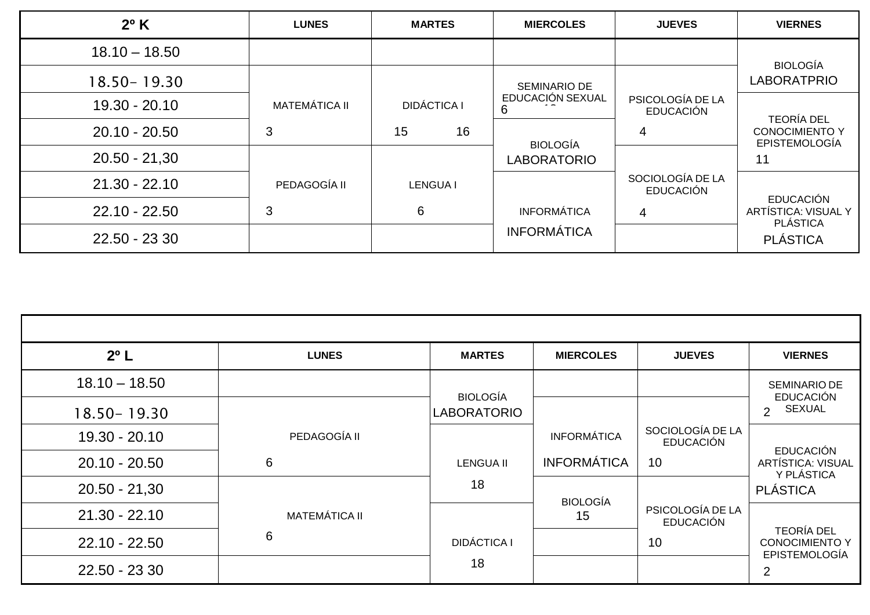| $2^{\circ}$ K   | <b>LUNES</b>         | <b>MARTES</b>      | <b>MIERCOLES</b>      | <b>JUEVES</b>                        | <b>VIERNES</b>                                             |
|-----------------|----------------------|--------------------|-----------------------|--------------------------------------|------------------------------------------------------------|
| $18.10 - 18.50$ |                      |                    |                       |                                      | <b>BIOLOGÍA</b>                                            |
| 18.50 - 19.30   |                      |                    | <b>SEMINARIO DE</b>   |                                      | <b>LABORATPRIO</b>                                         |
| $19.30 - 20.10$ | <b>MATEMÁTICA II</b> | <b>DIDÁCTICA I</b> | EDUCACIÓN SEXUAL<br>6 | PSICOLOGÍA DE LA<br><b>EDUCACIÓN</b> | <b>TEORÍA DEL</b>                                          |
| $20.10 - 20.50$ | 3                    | 16<br>15           | <b>BIOLOGÍA</b>       | 4                                    | <b>CONOCIMIENTO Y</b><br><b>EPISTEMOLOGÍA</b>              |
| $20.50 - 21,30$ |                      |                    | <b>LABORATORIO</b>    |                                      | 11                                                         |
| $21.30 - 22.10$ | PEDAGOGÍA II         | <b>LENGUA I</b>    |                       | SOCIOLOGÍA DE LA<br><b>EDUCACIÓN</b> |                                                            |
| $22.10 - 22.50$ | 3                    | 6                  | <b>INFORMÁTICA</b>    | 4                                    | <b>EDUCACIÓN</b><br>ARTÍSTICA: VISUAL Y<br><b>PLÁSTICA</b> |
| 22.50 - 23 30   |                      |                    | <b>INFORMÁTICA</b>    |                                      | <b>PLÁSTICA</b>                                            |

| $2^{\circ}$ L   | <b>LUNES</b>         | <b>MARTES</b>      | <b>MIERCOLES</b>   | <b>JUEVES</b>                        | <b>VIERNES</b>                                                     |
|-----------------|----------------------|--------------------|--------------------|--------------------------------------|--------------------------------------------------------------------|
| $18.10 - 18.50$ |                      | <b>BIOLOGÍA</b>    |                    |                                      | SEMINARIO DE<br><b>EDUCACIÓN</b>                                   |
| $18.50 - 19.30$ |                      | <b>LABORATORIO</b> |                    |                                      | <b>SEXUAL</b><br>$\overline{2}$                                    |
| 19.30 - 20.10   | PEDAGOGÍA II         |                    | <b>INFORMÁTICA</b> | SOCIOLOGÍA DE LA<br><b>EDUCACIÓN</b> | <b>EDUCACIÓN</b>                                                   |
| $20.10 - 20.50$ | 6                    | <b>LENGUA II</b>   | <b>INFORMÁTICA</b> | 10                                   | ARTÍSTICA: VISUAL<br>Y PLÁSTICA                                    |
| $20.50 - 21,30$ |                      | 18                 | <b>BIOLOGÍA</b>    |                                      | <b>PLÁSTICA</b>                                                    |
| $21.30 - 22.10$ | <b>MATEMÁTICA II</b> |                    | 15                 | PSICOLOGÍA DE LA<br><b>EDUCACIÓN</b> |                                                                    |
| $22.10 - 22.50$ | 6                    | <b>DIDÁCTICA I</b> |                    | 10                                   | <b>TEORÍA DEL</b><br><b>CONOCIMIENTO Y</b><br><b>EPISTEMOLOGÍA</b> |
| 22.50 - 23 30   |                      | 18                 |                    |                                      | $\overline{2}$                                                     |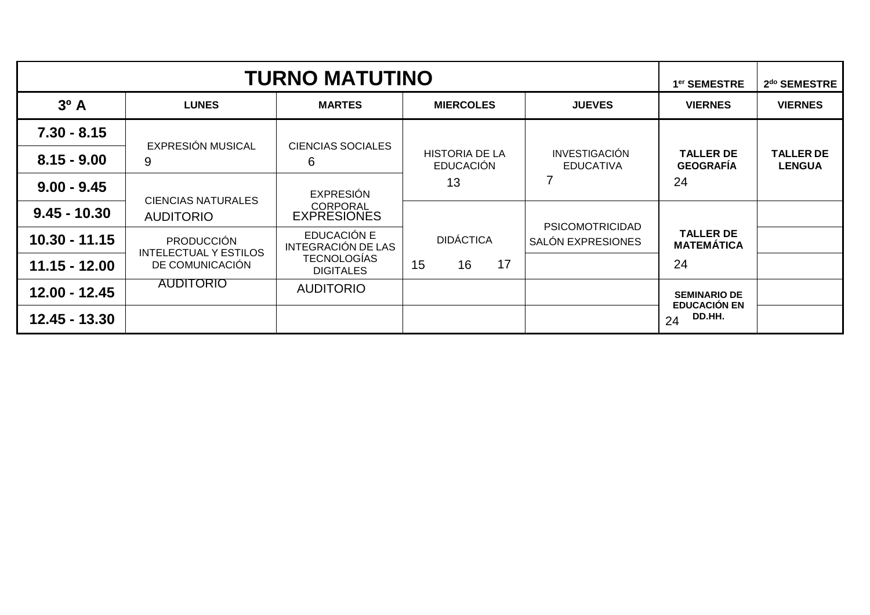|                  | <b>TURNO MATUTINO</b>                             |                                       |                                           |                                          |                                            |                                   |  |  |
|------------------|---------------------------------------------------|---------------------------------------|-------------------------------------------|------------------------------------------|--------------------------------------------|-----------------------------------|--|--|
| 3 <sup>o</sup> A | <b>LUNES</b>                                      | <b>MARTES</b>                         | <b>MIERCOLES</b>                          | <b>JUEVES</b>                            | <b>VIERNES</b>                             | <b>VIERNES</b>                    |  |  |
| $7.30 - 8.15$    | EXPRESIÓN MUSICAL                                 |                                       |                                           |                                          |                                            |                                   |  |  |
| $8.15 - 9.00$    | 9                                                 | <b>CIENCIAS SOCIALES</b><br>6         | <b>HISTORIA DE LA</b><br><b>EDUCACIÓN</b> | <b>INVESTIGACIÓN</b><br><b>EDUCATIVA</b> | <b>TALLER DE</b><br><b>GEOGRAFÍA</b>       | <b>TALLER DE</b><br><b>LENGUA</b> |  |  |
| $9.00 - 9.45$    |                                                   | <b>EXPRESIÓN</b>                      | 13                                        | 7                                        | 24                                         |                                   |  |  |
| $9.45 - 10.30$   | <b>CIENCIAS NATURALES</b><br><b>AUDITORIO</b>     | <b>CORPORAL</b><br><b>EXPRESIONES</b> |                                           | <b>PSICOMOTRICIDAD</b>                   |                                            |                                   |  |  |
| $10.30 - 11.15$  | <b>PRODUCCIÓN</b><br><b>INTELECTUAL Y ESTILOS</b> | EDUCACIÓN E<br>INTEGRACIÓN DE LAS     | <b>DIDÁCTICA</b>                          | <b>SALÓN EXPRESIONES</b>                 | <b>TALLER DE</b><br><b>MATEMÁTICA</b>      |                                   |  |  |
| $11.15 - 12.00$  | DE COMUNICACIÓN                                   | TECNOLOGÍAS<br><b>DIGITALES</b>       | 15<br>17<br>16                            |                                          | 24                                         |                                   |  |  |
| 12.00 - 12.45    | <b>AUDITORIO</b>                                  | <b>AUDITORIO</b>                      |                                           |                                          | <b>SEMINARIO DE</b><br><b>EDUCACIÓN EN</b> |                                   |  |  |
| $12.45 - 13.30$  |                                                   |                                       |                                           |                                          | DD.HH.<br>24                               |                                   |  |  |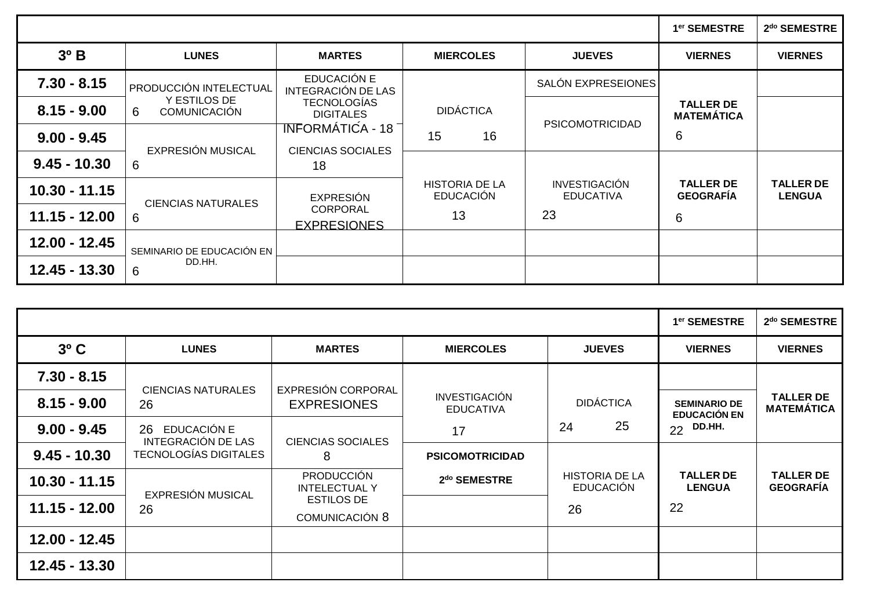|                 |                                          |                                                            |                                           |                                          | 1 <sup>er</sup> SEMESTRE              | 2 <sup>do</sup> SEMESTRE          |
|-----------------|------------------------------------------|------------------------------------------------------------|-------------------------------------------|------------------------------------------|---------------------------------------|-----------------------------------|
| $3^{\circ}$ B   | <b>LUNES</b>                             | <b>MARTES</b>                                              | <b>MIERCOLES</b>                          | <b>JUEVES</b>                            | <b>VIERNES</b>                        | <b>VIERNES</b>                    |
| $7.30 - 8.15$   | <b>PRODUCCIÓN INTELECTUAL</b>            | EDUCACIÓN E<br>INTEGRACIÓN DE LAS                          |                                           | SALÓN EXPRESEIONES                       |                                       |                                   |
| $8.15 - 9.00$   | Y ESTILOS DE<br>6<br><b>COMUNICACIÓN</b> | <b>TECNOLOGÍAS</b><br><b>DIGITALES</b>                     | <b>DIDÁCTICA</b>                          | <b>PSICOMOTRICIDAD</b>                   | <b>TALLER DE</b><br><b>MATEMÁTICA</b> |                                   |
| $9.00 - 9.45$   | EXPRESIÓN MUSICAL                        | <del>TNF</del> ORMÁTIĆA - 18 ¯<br><b>CIENCIAS SOCIALES</b> | 16<br>15                                  |                                          | 6                                     |                                   |
| $9.45 - 10.30$  | 6                                        | 18                                                         |                                           |                                          |                                       |                                   |
| $10.30 - 11.15$ | <b>CIENCIAS NATURALES</b>                | <b>EXPRESIÓN</b>                                           | <b>HISTORIA DE LA</b><br><b>EDUCACIÓN</b> | <b>INVESTIGACIÓN</b><br><b>EDUCATIVA</b> | <b>TALLER DE</b><br><b>GEOGRAFIA</b>  | <b>TALLER DE</b><br><b>LENGUA</b> |
| $11.15 - 12.00$ | 6                                        | <b>CORPORAL</b><br><b>EXPRESIONES</b>                      | 13                                        | 23                                       | 6                                     |                                   |
| 12.00 - 12.45   | SEMINARIO DE EDUCACIÓN EN                |                                                            |                                           |                                          |                                       |                                   |
| 12.45 - 13.30   | DD.HH.<br>6                              |                                                            |                                           |                                          |                                       |                                   |

|                 |                                                |                                            |                                          |                                           | 1 <sup>er</sup> SEMESTRE                   | 2 <sup>do</sup> SEMESTRE              |
|-----------------|------------------------------------------------|--------------------------------------------|------------------------------------------|-------------------------------------------|--------------------------------------------|---------------------------------------|
| $3^{\circ}$ C   | <b>LUNES</b>                                   | <b>MARTES</b>                              | <b>MIERCOLES</b>                         | <b>JUEVES</b>                             | <b>VIERNES</b>                             | <b>VIERNES</b>                        |
| $7.30 - 8.15$   | <b>CIENCIAS NATURALES</b>                      | EXPRESIÓN CORPORAL                         |                                          |                                           |                                            |                                       |
| $8.15 - 9.00$   | 26                                             | <b>EXPRESIONES</b>                         | <b>INVESTIGACIÓN</b><br><b>EDUCATIVA</b> | <b>DIDÁCTICA</b>                          | <b>SEMINARIO DE</b><br><b>EDUCACIÓN EN</b> | <b>TALLER DE</b><br><b>MATEMÁTICA</b> |
| $9.00 - 9.45$   | EDUCACIÓN E<br>26<br><b>INTEGRACIÓN DE LAS</b> | <b>CIENCIAS SOCIALES</b>                   | 17                                       | 25<br>24                                  | DD.HH.<br>22                               |                                       |
| $9.45 - 10.30$  | <b>TECNOLOGÍAS DIGITALES</b>                   | 8                                          | <b>PSICOMOTRICIDAD</b>                   |                                           |                                            |                                       |
| $10.30 - 11.15$ | <b>EXPRESIÓN MUSICAL</b>                       | <b>PRODUCCIÓN</b><br><b>INTELECTUAL Y</b>  | 2 <sup>do</sup> SEMESTRE                 | <b>HISTORIA DE LA</b><br><b>EDUCACIÓN</b> | <b>TALLER DE</b><br><b>LENGUA</b>          | <b>TALLER DE</b><br><b>GEOGRAFIA</b>  |
| $11.15 - 12.00$ | 26                                             | <b>ESTILOS DE</b><br><b>COMUNICACIÓN 8</b> |                                          | 26                                        | 22                                         |                                       |
| 12.00 - 12.45   |                                                |                                            |                                          |                                           |                                            |                                       |
| 12.45 - 13.30   |                                                |                                            |                                          |                                           |                                            |                                       |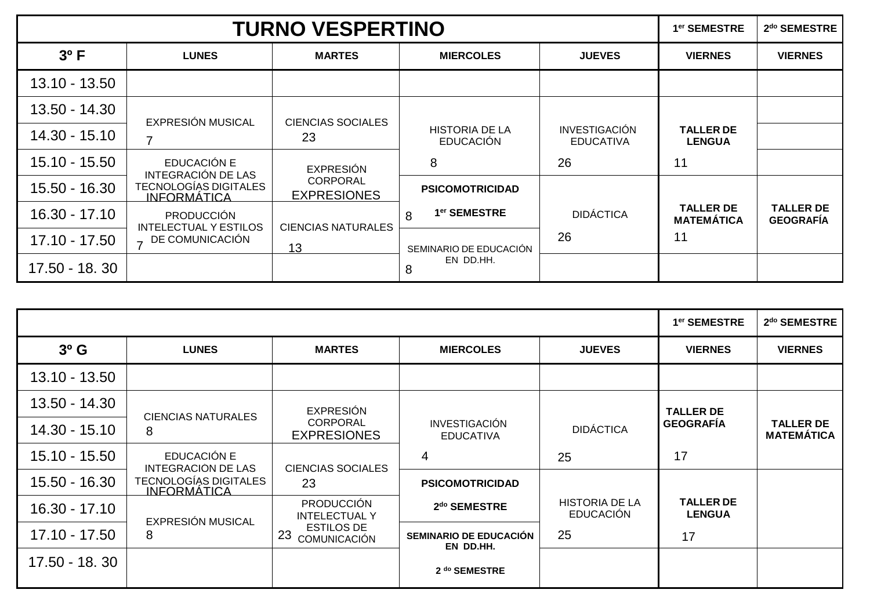|                 | <b>TURNO VESPERTINO</b>                           |                                       |                                           |                                          |                                       |                                      |  |
|-----------------|---------------------------------------------------|---------------------------------------|-------------------------------------------|------------------------------------------|---------------------------------------|--------------------------------------|--|
| $3^{\circ}$ F   | <b>LUNES</b>                                      | <b>MARTES</b>                         | <b>MIERCOLES</b>                          | <b>JUEVES</b>                            | <b>VIERNES</b>                        | <b>VIERNES</b>                       |  |
| $13.10 - 13.50$ |                                                   |                                       |                                           |                                          |                                       |                                      |  |
| 13.50 - 14.30   | <b>EXPRESIÓN MUSICAL</b>                          | <b>CIENCIAS SOCIALES</b>              |                                           |                                          |                                       |                                      |  |
| 14.30 - 15.10   |                                                   | 23                                    | <b>HISTORIA DE LA</b><br><b>EDUCACIÓN</b> | <b>INVESTIGACIÓN</b><br><b>EDUCATIVA</b> | <b>TALLER DE</b><br><b>LENGUA</b>     |                                      |  |
| 15.10 - 15.50   | EDUCACIÓN E<br>INTEGRACIÓN DE LAS                 | <b>EXPRESIÓN</b>                      | 8                                         | 26                                       | 11                                    |                                      |  |
| 15.50 - 16.30   | TECNOLOGÍAS DIGITALES<br><u>INFORMÁTICA</u>       | <b>CORPORAL</b><br><b>EXPRESIONES</b> | <b>PSICOMOTRICIDAD</b>                    |                                          |                                       |                                      |  |
| 16.30 - 17.10   | <b>PRODUCCIÓN</b><br><b>INTELECTUAL Y ESTILOS</b> | <b>CIENCIAS NATURALES</b>             | 1 <sup>er</sup> SEMESTRE<br>8             | <b>DIDÁCTICA</b>                         | <b>TALLER DE</b><br><b>MATEMÁTICA</b> | <b>TALLER DE</b><br><b>GEOGRAFIA</b> |  |
| 17.10 - 17.50   | - DE COMUNICACIÓN                                 | 13                                    | SEMINARIO DE EDUCACIÓN                    | 26                                       | 11                                    |                                      |  |
| 17.50 - 18.30   |                                                   |                                       | EN DD.HH.<br>8                            |                                          |                                       |                                      |  |

| $3o$ G          | <b>LUNES</b>                             | <b>MARTES</b>                             | <b>MIERCOLES</b>                         | <b>JUEVES</b>                             | <b>VIERNES</b>                    | <b>VIERNES</b>                        |  |
|-----------------|------------------------------------------|-------------------------------------------|------------------------------------------|-------------------------------------------|-----------------------------------|---------------------------------------|--|
| 13.10 - 13.50   |                                          |                                           |                                          |                                           |                                   |                                       |  |
| 13.50 - 14.30   | <b>CIENCIAS NATURALES</b>                | <b>EXPRESIÓN</b>                          |                                          |                                           | <b>TALLER DE</b>                  |                                       |  |
| 14.30 - 15.10   | 8                                        | <b>CORPORAL</b><br><b>EXPRESIONES</b>     | <b>INVESTIGACIÓN</b><br><b>EDUCATIVA</b> | <b>DIDÁCTICA</b>                          | <b>GEOGRAFÍA</b>                  | <b>TALLER DE</b><br><b>MATEMÁTICA</b> |  |
| $15.10 - 15.50$ | EDUCACIÓN E<br><b>INTEGRACION DE LAS</b> | <b>CIENCIAS SOCIALES</b>                  | 4                                        | 25                                        | 17                                |                                       |  |
| 15.50 - 16.30   | TECNOLOGÍAS DIGITALES<br>INFORMÁTICA     | 23                                        | <b>PSICOMOTRICIDAD</b>                   |                                           |                                   |                                       |  |
| $16.30 - 17.10$ | EXPRESIÓN MUSICAL                        | <b>PRODUCCIÓN</b><br><b>INTELECTUAL Y</b> | 2 <sup>do</sup> SEMESTRE                 | <b>HISTORIA DE LA</b><br><b>EDUCACIÓN</b> | <b>TALLER DE</b><br><b>LENGUA</b> |                                       |  |
| $17.10 - 17.50$ | 8                                        | <b>ESTILOS DE</b><br>23<br>COMUNICACIÓN   | SEMINARIO DE EDUCACIÓN<br>EN DD.HH.      | 25                                        | 17                                |                                       |  |
| 17.50 - 18.30   |                                          |                                           | 2 do SEMESTRE                            |                                           |                                   |                                       |  |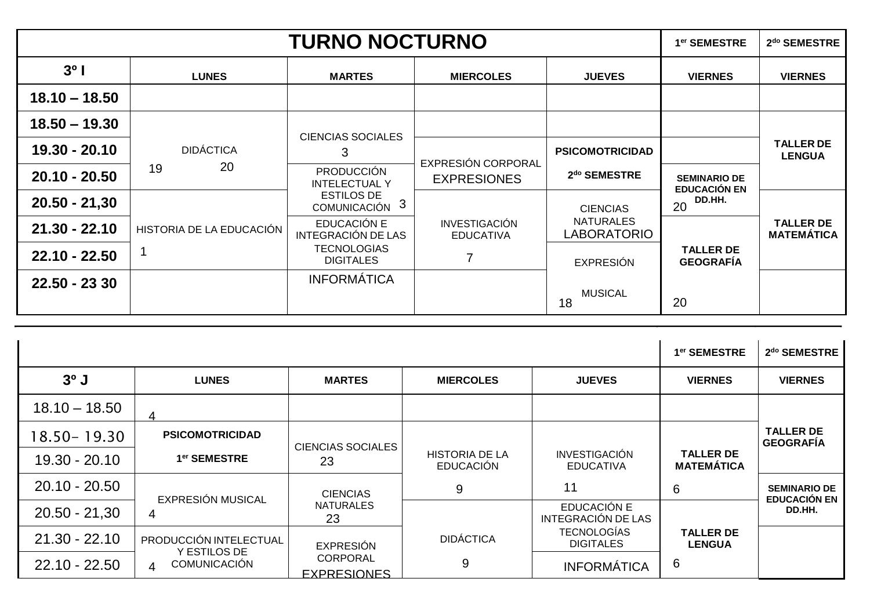|                 |                          | <b>TURNO NOCTURNO</b>                     |                                          |                                 | 1er SEMESTRE                               | 2 <sup>do</sup> SEMESTRE              |
|-----------------|--------------------------|-------------------------------------------|------------------------------------------|---------------------------------|--------------------------------------------|---------------------------------------|
| $3^{\circ}$     | <b>LUNES</b>             | <b>MARTES</b>                             | <b>MIERCOLES</b>                         | <b>JUEVES</b>                   | <b>VIERNES</b>                             | <b>VIERNES</b>                        |
| $18.10 - 18.50$ |                          |                                           |                                          |                                 |                                            |                                       |
| $18.50 - 19.30$ |                          | <b>CIENCIAS SOCIALES</b>                  |                                          |                                 |                                            |                                       |
| 19.30 - 20.10   | <b>DIDÁCTICA</b>         | 3                                         | EXPRESIÓN CORPORAL                       | <b>PSICOMOTRICIDAD</b>          |                                            | <b>TALLER DE</b><br><b>LENGUA</b>     |
| $20.10 - 20.50$ | 20<br>19                 | <b>PRODUCCIÓN</b><br><b>INTELECTUAL Y</b> | <b>EXPRESIONES</b>                       | 2 <sup>do</sup> SEMESTRE        | <b>SEMINARIO DE</b><br><b>EDUCACIÓN EN</b> |                                       |
| $20.50 - 21,30$ |                          | <b>ESTILOS DE</b><br>COMUNICACIÓN 3       |                                          | <b>CIENCIAS</b>                 | DD.HH.<br>20                               |                                       |
| $21.30 - 22.10$ | HISTORIA DE LA EDUCACIÓN | EDUCACIÓN E<br>INTEGRACIÓN DE LAS         | <b>INVESTIGACIÓN</b><br><b>EDUCATIVA</b> | <b>NATURALES</b><br>LABORATORIO |                                            | <b>TALLER DE</b><br><b>MATEMÁTICA</b> |
| $22.10 - 22.50$ |                          | <b>TECNOLOGIAS</b><br><b>DIGITALES</b>    | $\overline{7}$                           | <b>EXPRESIÓN</b>                | <b>TALLER DE</b><br><b>GEOGRAFIA</b>       |                                       |
| 22.50 - 23 30   |                          | <b>INFORMÁTICA</b>                        |                                          | <b>MUSICAL</b><br>18            | 20                                         |                                       |

|                 |                                                       |                                       |                                           |                                          | 1 <sup>er</sup> SEMESTRE              | 2 <sup>do</sup> SEMESTRE                   |
|-----------------|-------------------------------------------------------|---------------------------------------|-------------------------------------------|------------------------------------------|---------------------------------------|--------------------------------------------|
| $30$ J          | <b>LUNES</b>                                          | <b>MARTES</b>                         | <b>MIERCOLES</b>                          | <b>JUEVES</b>                            | <b>VIERNES</b>                        | <b>VIERNES</b>                             |
| $18.10 - 18.50$ |                                                       |                                       |                                           |                                          |                                       |                                            |
| 18.50-19.30     | <b>PSICOMOTRICIDAD</b>                                | <b>CIENCIAS SOCIALES</b>              |                                           |                                          |                                       | <b>TALLER DE</b><br><b>GEOGRAFÍA</b>       |
| 19.30 - 20.10   | 1 <sup>er</sup> SEMESTRE                              | 23                                    | <b>HISTORIA DE LA</b><br><b>EDUCACIÓN</b> | <b>INVESTIGACIÓN</b><br><b>EDUCATIVA</b> | <b>TALLER DE</b><br><b>MATEMÁTICA</b> |                                            |
| $20.10 - 20.50$ | EXPRESIÓN MUSICAL                                     | <b>CIENCIAS</b>                       | 9                                         | 11                                       | 6                                     | <b>SEMINARIO DE</b><br><b>EDUCACIÓN EN</b> |
| $20.50 - 21,30$ | 4                                                     | <b>NATURALES</b><br>23                |                                           | EDUCACIÓN E<br>INTEGRACIÓN DE LAS        |                                       | DD.HH.                                     |
| $21.30 - 22.10$ | PRODUCCIÓN INTELECTUAL                                | <b>EXPRESIÓN</b>                      | <b>DIDÁCTICA</b>                          | <b>TECNOLOGÍAS</b><br><b>DIGITALES</b>   | <b>TALLER DE</b><br><b>LENGUA</b>     |                                            |
| $22.10 - 22.50$ | Y ESTILOS DE<br><b>COMUNICACIÓN</b><br>$\overline{4}$ | <b>CORPORAL</b><br><b>EXPRESIONES</b> | 9                                         | <b>INFORMÁTICA</b>                       | 6                                     |                                            |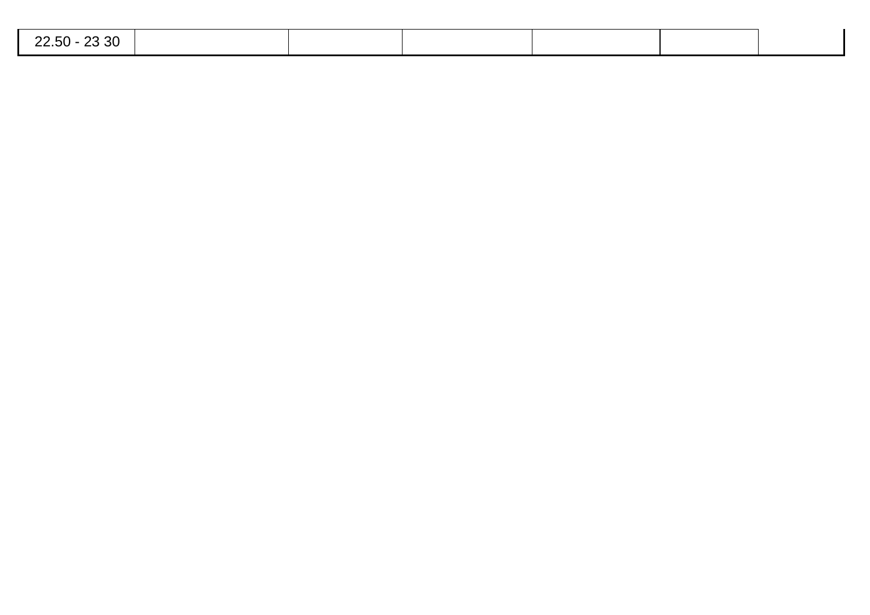| 22.50 - 23 30 |  |  |  |
|---------------|--|--|--|
|               |  |  |  |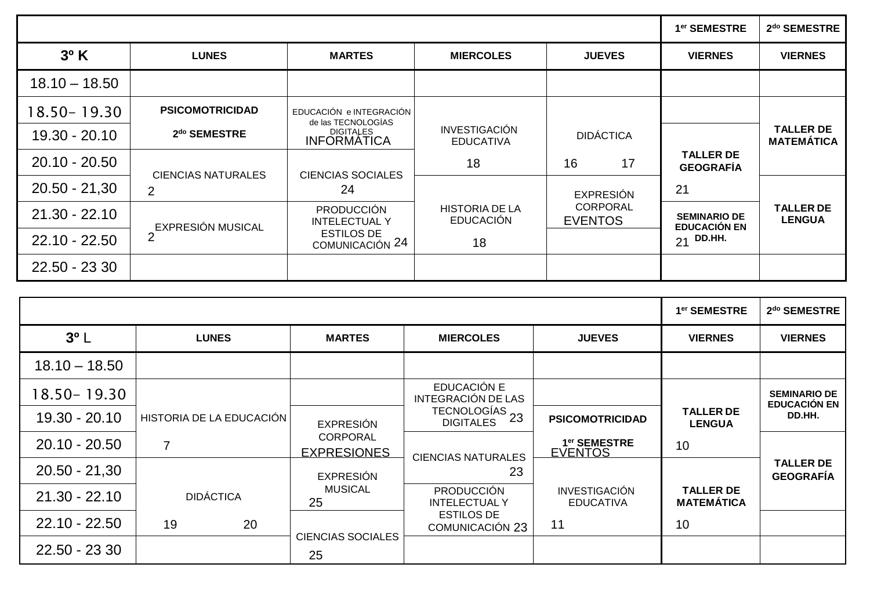|                 |                           |                                               |                                           |                                   | 1 <sup>er</sup> SEMESTRE                   | 2 <sup>do</sup> SEMESTRE              |
|-----------------|---------------------------|-----------------------------------------------|-------------------------------------------|-----------------------------------|--------------------------------------------|---------------------------------------|
| $3^{\circ}$ K   | <b>LUNES</b>              | <b>MARTES</b>                                 | <b>MIERCOLES</b>                          | <b>JUEVES</b>                     | <b>VIERNES</b>                             | <b>VIERNES</b>                        |
| $18.10 - 18.50$ |                           |                                               |                                           |                                   |                                            |                                       |
| 18.50 - 19.30   | <b>PSICOMOTRICIDAD</b>    | EDUCACIÓN e INTEGRACIÓN<br>de las TECNOLOGÍAS |                                           |                                   |                                            |                                       |
| 19.30 - 20.10   | 2 <sup>do</sup> SEMESTRE  | <b>DIGITALES</b><br><b>INFORMATICA</b>        | <b>INVESTIGACIÓN</b><br><b>EDUCATIVA</b>  | <b>DIDÁCTICA</b>                  |                                            | <b>TALLER DE</b><br><b>MATEMÁTICA</b> |
| $20.10 - 20.50$ | <b>CIENCIAS NATURALES</b> | <b>CIENCIAS SOCIALES</b>                      | 18                                        | 17<br>16                          | <b>TALLER DE</b><br><b>GEOGRAFÍA</b>       |                                       |
| $20.50 - 21,30$ | $\overline{2}$            | 24                                            |                                           | <b>EXPRESIÓN</b>                  | 21                                         |                                       |
| $21.30 - 22.10$ | <b>EXPRESIÓN MUSICAL</b>  | <b>PRODUCCIÓN</b><br><b>INTELECTUAL Y</b>     | <b>HISTORIA DE LA</b><br><b>EDUCACIÓN</b> | <b>CORPORAL</b><br><b>EVENTOS</b> | <b>SEMINARIO DE</b><br><b>EDUCACIÓN EN</b> | <b>TALLER DE</b><br><b>LENGUA</b>     |
| $22.10 - 22.50$ | $\overline{2}$            | <b>ESTILOS DE</b><br>COMUNICACIÓN 24          | 18                                        |                                   | $21$ DD.HH.                                |                                       |
| 22.50 - 23 30   |                           |                                               |                                           |                                   |                                            |                                       |

|                 |                          |                                       |                                                                           |                                            | 1 <sup>er</sup> SEMESTRE              | 2 <sup>do</sup> SEMESTRE                   |
|-----------------|--------------------------|---------------------------------------|---------------------------------------------------------------------------|--------------------------------------------|---------------------------------------|--------------------------------------------|
| $3^o$ L         | <b>LUNES</b>             | <b>MARTES</b>                         | <b>MIERCOLES</b>                                                          | <b>JUEVES</b>                              | <b>VIERNES</b>                        | <b>VIERNES</b>                             |
| $18.10 - 18.50$ |                          |                                       |                                                                           |                                            |                                       |                                            |
| 18.50-19.30     |                          |                                       | EDUCACIÓN E<br>INTEGRACIÓN DE LAS                                         |                                            |                                       | <b>SEMINARIO DE</b><br><b>EDUCACIÓN EN</b> |
| 19.30 - 20.10   | HISTORIA DE LA EDUCACIÓN | <b>EXPRESIÓN</b>                      | $TECNOLOGÍAS$<br>$T_{\text{C}}$ = $T_{\text{C}}$ = 23<br><b>DIGITALES</b> | <b>PSICOMOTRICIDAD</b>                     | <b>TALLER DE</b><br><b>LENGUA</b>     | DD.HH.                                     |
| $20.10 - 20.50$ | 7                        | <b>CORPORAL</b><br><b>EXPRESIONES</b> | <b>CIENCIAS NATURALES</b>                                                 | 1 <sup>er</sup> SEMESTRE<br><b>EVENTOS</b> | 10                                    |                                            |
| $20.50 - 21,30$ |                          | <b>EXPRESIÓN</b>                      | 23                                                                        |                                            |                                       | <b>TALLER DE</b><br><b>GEOGRAFIA</b>       |
| $21.30 - 22.10$ | <b>DIDÁCTICA</b>         | <b>MUSICAL</b><br>25                  | <b>PRODUCCIÓN</b><br><b>INTELECTUALY</b>                                  | <b>INVESTIGACIÓN</b><br><b>EDUCATIVA</b>   | <b>TALLER DE</b><br><b>MATEMÁTICA</b> |                                            |
| $22.10 - 22.50$ | 19<br>20                 |                                       | <b>ESTILOS DE</b><br><b>COMUNICACIÓN 23</b>                               | 11                                         | 10                                    |                                            |
| 22.50 - 23 30   |                          | <b>CIENCIAS SOCIALES</b><br>25        |                                                                           |                                            |                                       |                                            |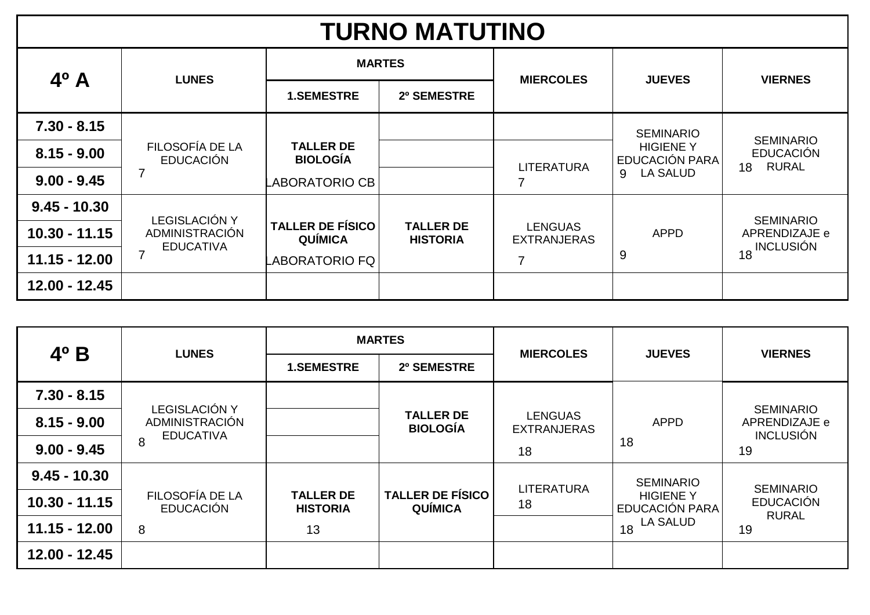| <b>TURNO MATUTINO</b> |                                     |                                           |                                     |                                      |                                    |                                                      |  |  |  |
|-----------------------|-------------------------------------|-------------------------------------------|-------------------------------------|--------------------------------------|------------------------------------|------------------------------------------------------|--|--|--|
| $4^{\circ}$ A         |                                     | <b>MARTES</b>                             |                                     | <b>MIERCOLES</b>                     | <b>JUEVES</b>                      | <b>VIERNES</b>                                       |  |  |  |
|                       | <b>LUNES</b>                        | <b>1.SEMESTRE</b><br>2º SEMESTRE          |                                     |                                      |                                    |                                                      |  |  |  |
| $7.30 - 8.15$         |                                     |                                           |                                     |                                      | <b>SEMINARIO</b>                   |                                                      |  |  |  |
| $8.15 - 9.00$         | FILOSOFÍA DE LA<br><b>EDUCACIÓN</b> | <b>TALLER DE</b><br><b>BIOLOGÍA</b>       |                                     |                                      | <b>HIGIENE Y</b><br>EDUCACIÓN PARA | <b>SEMINARIO</b><br><b>EDUCACIÓN</b><br><b>RURAL</b> |  |  |  |
| $9.00 - 9.45$         |                                     |                                           |                                     | <b>LITERATURA</b><br>7               | <b>LA SALUD</b><br>9               | 18                                                   |  |  |  |
| $9.45 - 10.30$        | <b>LEGISLACIÓN Y</b>                |                                           |                                     |                                      |                                    | <b>SEMINARIO</b>                                     |  |  |  |
| $10.30 - 11.15$       | ADMINISTRACIÓN<br><b>EDUCATIVA</b>  | <b>TALLER DE FÍSICO</b><br><b>QUÍMICA</b> | <b>TALLER DE</b><br><b>HISTORIA</b> | <b>LENGUAS</b><br><b>EXTRANJERAS</b> | <b>APPD</b>                        | APRENDIZAJE e                                        |  |  |  |
| $11.15 - 12.00$       |                                     |                                           |                                     | 7                                    | 9                                  | 18 INCLUSIÓN                                         |  |  |  |
| 12.00 - 12.45         |                                     |                                           |                                     |                                      |                                    |                                                      |  |  |  |

|                 | <b>LUNES</b>                        | <b>MARTES</b>                       |                                           | <b>MIERCOLES</b>                     | <b>JUEVES</b>                      | <b>VIERNES</b>                                        |
|-----------------|-------------------------------------|-------------------------------------|-------------------------------------------|--------------------------------------|------------------------------------|-------------------------------------------------------|
| $4^{\circ}$ B   |                                     | <b>1.SEMESTRE</b>                   | 2º SEMESTRE                               |                                      |                                    |                                                       |
| $7.30 - 8.15$   | <b>LEGISLACIÓN Y</b>                |                                     |                                           |                                      |                                    |                                                       |
| $8.15 - 9.00$   | ADMINISTRACIÓN<br><b>EDUCATIVA</b>  |                                     | <b>TALLER DE</b><br><b>BIOLOGÍA</b>       | <b>LENGUAS</b><br><b>EXTRANJERAS</b> | <b>APPD</b>                        | <b>SEMINARIO</b><br>APRENDIZAJE e<br><b>INCLUSIÓN</b> |
| $9.00 - 9.45$   | 8                                   |                                     |                                           | 18                                   | 18                                 | 19                                                    |
| $9.45 - 10.30$  |                                     |                                     |                                           | <b>LITERATURA</b>                    | <b>SEMINARIO</b>                   | <b>SEMINARIO</b>                                      |
| $10.30 - 11.15$ | FILOSOFÍA DE LA<br><b>EDUCACIÓN</b> | <b>TALLER DE</b><br><b>HISTORIA</b> | <b>TALLER DE FÍSICO</b><br><b>QUÍMICA</b> | 18                                   | <b>HIGIENE Y</b><br>EDUCACIÓN PARA | <b>EDUCACIÓN</b><br><b>RURAL</b>                      |
| $11.15 - 12.00$ | 8                                   | 13                                  |                                           |                                      | $1_{18}$ LA SALUD                  | 19                                                    |
| 12.00 - 12.45   |                                     |                                     |                                           |                                      |                                    |                                                       |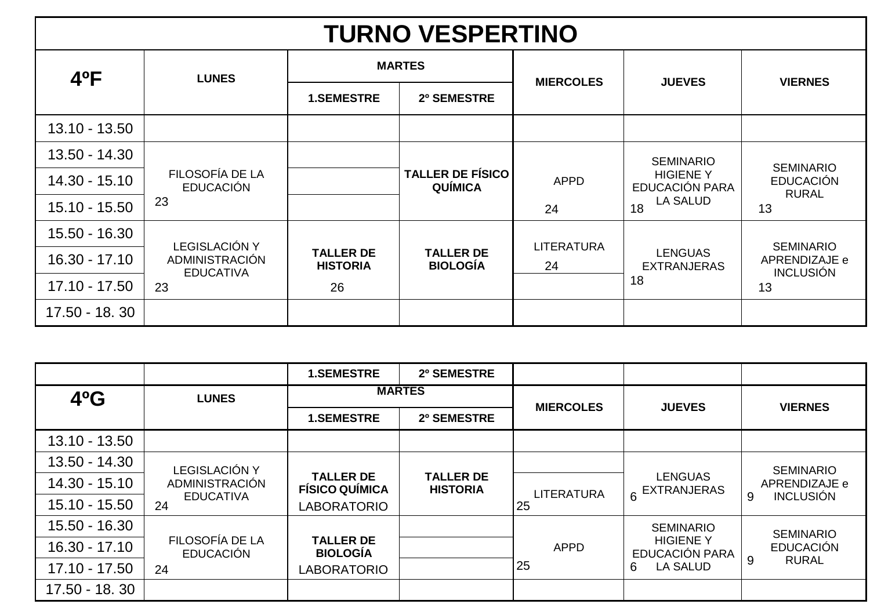## **TURNO VESPERTINO**

| $4^{\circ}$ F   | <b>LUNES</b>                        |                                     | <b>MARTES</b>                             |                   | <b>JUEVES</b>                             | <b>VIERNES</b>                    |
|-----------------|-------------------------------------|-------------------------------------|-------------------------------------------|-------------------|-------------------------------------------|-----------------------------------|
|                 |                                     | <b>1.SEMESTRE</b>                   | <b>MIERCOLES</b><br>2º SEMESTRE           |                   |                                           |                                   |
| $13.10 - 13.50$ |                                     |                                     |                                           |                   |                                           |                                   |
| 13.50 - 14.30   |                                     |                                     |                                           |                   | <b>SEMINARIO</b>                          | <b>SEMINARIO</b>                  |
| 14.30 - 15.10   | FILOSOFÍA DE LA<br><b>EDUCACIÓN</b> |                                     | <b>TALLER DE FÍSICO</b><br><b>QUÍMICA</b> | <b>APPD</b>       | <b>HIGIENE Y</b><br><b>EDUCACIÓN PARA</b> | <b>EDUCACIÓN</b><br><b>RURAL</b>  |
| 15.10 - 15.50   | 23                                  |                                     |                                           | 24                | <b>LA SALUD</b><br>18                     | 13                                |
| 15.50 - 16.30   | <b>LEGISLACIÓN Y</b>                |                                     |                                           | <b>LITERATURA</b> |                                           | <b>SEMINARIO</b>                  |
| 16.30 - 17.10   | ADMINISTRACIÓN<br><b>EDUCATIVA</b>  | <b>TALLER DE</b><br><b>HISTORIA</b> | <b>TALLER DE</b><br><b>BIOLOGÍA</b>       | 24                | <b>LENGUAS</b><br><b>EXTRANJERAS</b>      | APRENDIZAJE e<br><b>INCLUSIÓN</b> |
| $17.10 - 17.50$ | 23                                  | 26                                  |                                           |                   | 18                                        | 13                                |
| 17.50 - 18.30   |                                     |                                     |                                           |                   |                                           |                                   |

|                 |                                     | <b>1.SEMESTRE</b>                         | 2º SEMESTRE                         |                   |                                           |                       |
|-----------------|-------------------------------------|-------------------------------------------|-------------------------------------|-------------------|-------------------------------------------|-----------------------|
| $4^o$ G         | <b>LUNES</b>                        | <b>MARTES</b>                             |                                     |                   |                                           |                       |
|                 |                                     | <b>1.SEMESTRE</b>                         | 2º SEMESTRE                         | <b>MIERCOLES</b>  | <b>JUEVES</b>                             | <b>VIERNES</b>        |
| 13.10 - 13.50   |                                     |                                           |                                     |                   |                                           |                       |
| 13.50 - 14.30   | LEGISLACIÓN Y                       |                                           |                                     |                   |                                           | <b>SEMINARIO</b>      |
| 14.30 - 15.10   | ADMINISTRACIÓN                      | <b>TALLER DE</b><br><b>FÍSICO QUÍMICA</b> | <b>TALLER DE</b><br><b>HISTORIA</b> | <b>LITERATURA</b> | <b>LENGUAS</b><br>6 EXTRANJERAS           | APRENDIZAJE e         |
| 15.10 - 15.50   | <b>EDUCATIVA</b><br>24              | <b>LABORATORIO</b>                        |                                     | 25                |                                           | <b>INCLUSIÓN</b><br>9 |
| 15.50 - 16.30   |                                     |                                           |                                     |                   | <b>SEMINARIO</b>                          | <b>SEMINARIO</b>      |
| $16.30 - 17.10$ | FILOSOFÍA DE LA<br><b>EDUCACIÓN</b> | <b>TALLER DE</b><br><b>BIOLOGÍA</b>       |                                     | <b>APPD</b>       | <b>HIGIENE Y</b><br><b>EDUCACIÓN PARA</b> | <b>EDUCACIÓN</b>      |
| $17.10 - 17.50$ | 24                                  | <b>LABORATORIO</b>                        |                                     | 25                | <b>LA SALUD</b><br>6                      | 9<br><b>RURAL</b>     |
| 17.50 - 18.30   |                                     |                                           |                                     |                   |                                           |                       |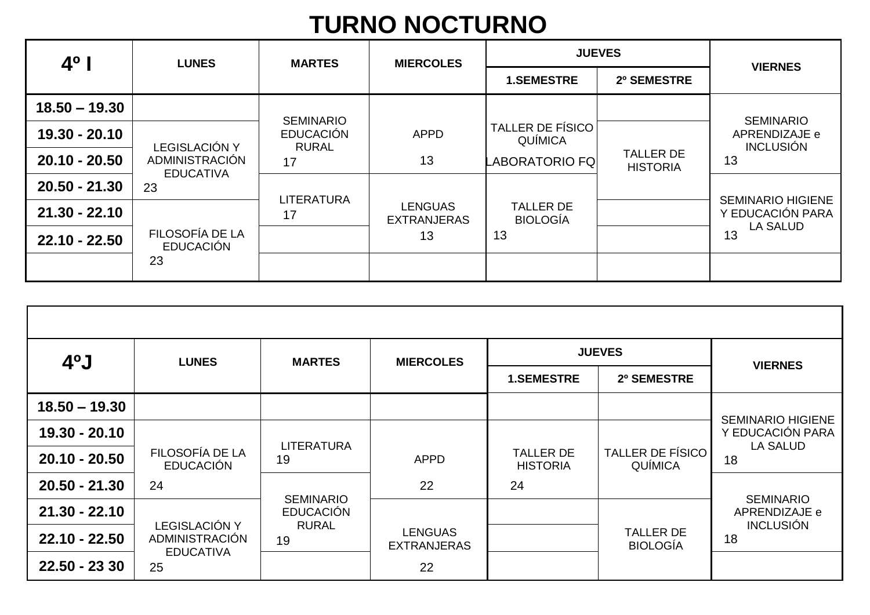# **TURNO NOCTURNO**

| $4^{\circ}$     | <b>LUNES</b>                        | <b>MARTES</b>                    |                                      | <b>JUEVES</b>                       |                                     | <b>VIERNES</b>                      |
|-----------------|-------------------------------------|----------------------------------|--------------------------------------|-------------------------------------|-------------------------------------|-------------------------------------|
|                 |                                     |                                  | <b>MIERCOLES</b>                     | <b>1.SEMESTRE</b>                   | 2º SEMESTRE                         |                                     |
| $18.50 - 19.30$ |                                     | <b>SEMINARIO</b>                 |                                      |                                     |                                     | <b>SEMINARIO</b>                    |
| 19.30 - 20.10   | <b>LEGISLACIÓN Y</b>                | <b>EDUCACIÓN</b><br><b>RURAL</b> | <b>APPD</b>                          | <b>TALLER DE FÍSICO</b><br>QUÍMICA  |                                     | APRENDIZAJE e<br><b>INCLUSIÓN</b>   |
| $20.10 - 20.50$ | ADMINISTRACIÓN<br><b>EDUCATIVA</b>  | 17                               | 13                                   | <b>LABORATORIO FQ</b>               | <b>TALLER DE</b><br><b>HISTORIA</b> | 13                                  |
| $20.50 - 21.30$ | 23                                  | <b>LITERATURA</b>                |                                      |                                     |                                     | <b>SEMINARIO HIGIENE</b>            |
| $21.30 - 22.10$ |                                     | 17                               | <b>LENGUAS</b><br><b>EXTRANJERAS</b> | <b>TALLER DE</b><br><b>BIOLOGÍA</b> |                                     | Y EDUCACIÓN PARA<br><b>LA SALUD</b> |
| $22.10 - 22.50$ | FILOSOFÍA DE LA<br><b>EDUCACIÓN</b> |                                  | 13                                   | 13                                  |                                     | 13                                  |
|                 | 23                                  |                                  |                                      |                                     |                                     |                                     |

| $40$ J          | <b>LUNES</b>                                               | <b>MARTES</b>           | <b>MIERCOLES</b>                     | <b>JUEVES</b>                       |                                           | <b>VIERNES</b>                                                  |
|-----------------|------------------------------------------------------------|-------------------------|--------------------------------------|-------------------------------------|-------------------------------------------|-----------------------------------------------------------------|
|                 |                                                            |                         |                                      | <b>1.SEMESTRE</b>                   | 2º SEMESTRE                               |                                                                 |
| $18.50 - 19.30$ |                                                            |                         |                                      |                                     |                                           |                                                                 |
| 19.30 - 20.10   |                                                            |                         |                                      |                                     |                                           | <b>SEMINARIO HIGIENE</b><br>Y EDUCACIÓN PARA<br><b>LA SALUD</b> |
| 20.10 - 20.50   | FILOSOFÍA DE LA<br><b>EDUCACIÓN</b>                        | <b>LITERATURA</b><br>19 | <b>APPD</b>                          | <b>TALLER DE</b><br><b>HISTORIA</b> | <b>TALLER DE FÍSICO</b><br><b>QUÍMICA</b> | 18                                                              |
| $20.50 - 21.30$ | 24                                                         | <b>SEMINARIO</b>        | 22                                   | 24                                  |                                           | <b>SEMINARIO</b>                                                |
| $21.30 - 22.10$ |                                                            | <b>EDUCACIÓN</b>        |                                      |                                     |                                           | APRENDIZAJE e                                                   |
| 22.10 - 22.50   | <b>LEGISLACIÓN Y</b><br>ADMINISTRACIÓN<br><b>EDUCATIVA</b> | <b>RURAL</b><br>19      | <b>LENGUAS</b><br><b>EXTRANJERAS</b> |                                     | <b>TALLER DE</b><br><b>BIOLOGÍA</b>       | <b>INCLUSIÓN</b><br>18                                          |
| 22.50 - 23 30   | 25                                                         |                         | 22                                   |                                     |                                           |                                                                 |